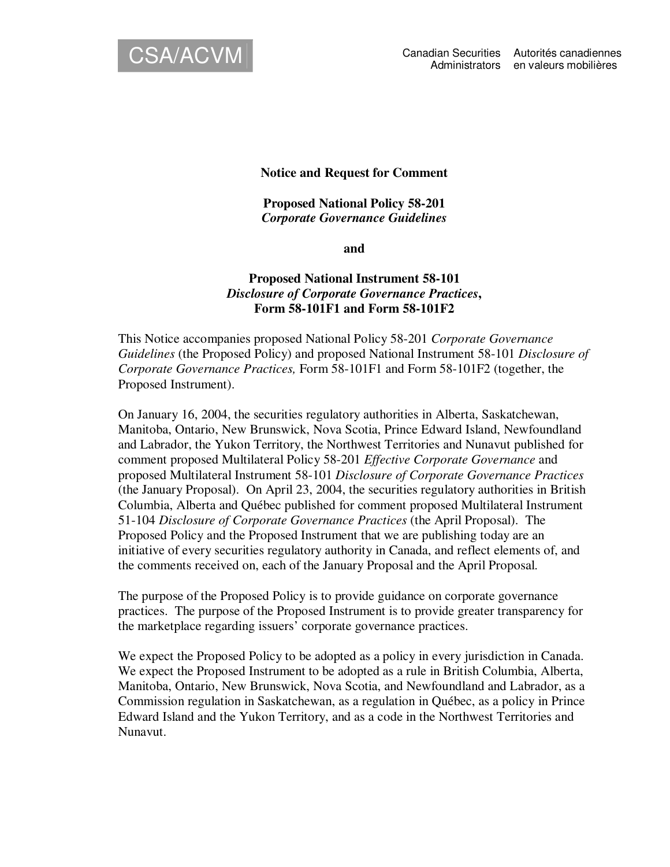

**Notice and Request for Comment**

**Proposed National Policy 58-201** *Corporate Governance Guidelines*

**and**

# **Proposed National Instrument 58-101** *Disclosure of Corporate Governance Practices***, Form 58-101F1 and Form 58-101F2**

This Notice accompanies proposed National Policy 58-201 *Corporate Governance Guidelines* (the Proposed Policy) and proposed National Instrument 58-101 *Disclosure of Corporate Governance Practices,* Form 58-101F1 and Form 58-101F2 (together, the Proposed Instrument).

On January 16, 2004, the securities regulatory authorities in Alberta, Saskatchewan, Manitoba, Ontario, New Brunswick, Nova Scotia, Prince Edward Island, Newfoundland and Labrador, the Yukon Territory, the Northwest Territories and Nunavut published for comment proposed Multilateral Policy 58-201 *Effective Corporate Governance* and proposed Multilateral Instrument 58-101 *Disclosure of Corporate Governance Practices* (the January Proposal). On April 23, 2004, the securities regulatory authorities in British Columbia, Alberta and Québec published for comment proposed Multilateral Instrument 51-104 *Disclosure of Corporate Governance Practices* (the April Proposal). The Proposed Policy and the Proposed Instrument that we are publishing today are an initiative of every securities regulatory authority in Canada, and reflect elements of, and the comments received on, each of the January Proposal and the April Proposal.

The purpose of the Proposed Policy is to provide guidance on corporate governance practices. The purpose of the Proposed Instrument is to provide greater transparency for the marketplace regarding issuers' corporate governance practices.

We expect the Proposed Policy to be adopted as a policy in every jurisdiction in Canada. We expect the Proposed Instrument to be adopted as a rule in British Columbia, Alberta, Manitoba, Ontario, New Brunswick, Nova Scotia, and Newfoundland and Labrador, as a Commission regulation in Saskatchewan, as a regulation in Québec, as a policy in Prince Edward Island and the Yukon Territory, and as a code in the Northwest Territories and Nunavut.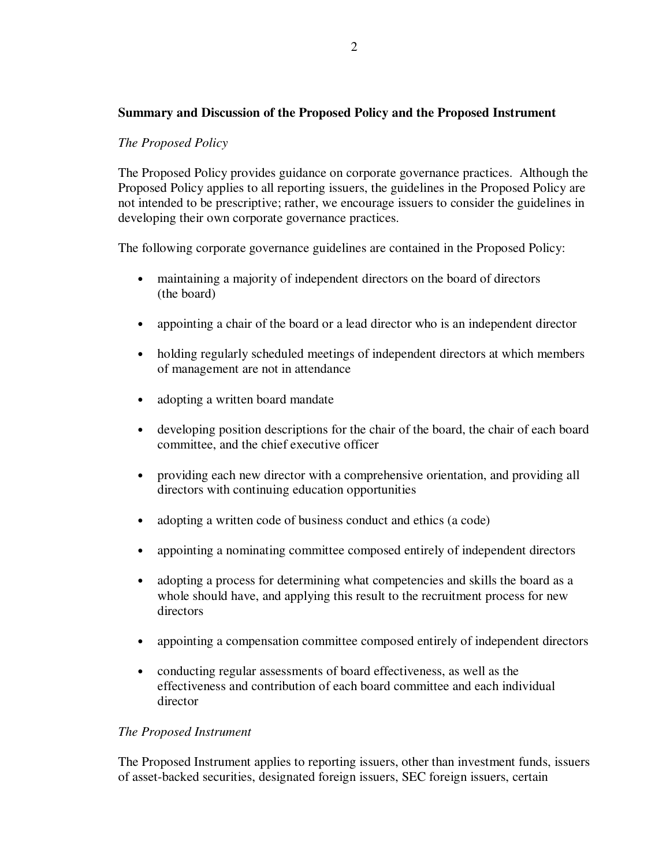### **Summary and Discussion of the Proposed Policy and the Proposed Instrument**

### *The Proposed Policy*

The Proposed Policy provides guidance on corporate governance practices. Although the Proposed Policy applies to all reporting issuers, the guidelines in the Proposed Policy are not intended to be prescriptive; rather, we encourage issuers to consider the guidelines in developing their own corporate governance practices.

The following corporate governance guidelines are contained in the Proposed Policy:

- maintaining a majority of independent directors on the board of directors (the board)
- appointing a chair of the board or a lead director who is an independent director
- holding regularly scheduled meetings of independent directors at which members of management are not in attendance
- adopting a written board mandate
- developing position descriptions for the chair of the board, the chair of each board committee, and the chief executive officer
- providing each new director with a comprehensive orientation, and providing all directors with continuing education opportunities
- adopting a written code of business conduct and ethics (a code)
- appointing a nominating committee composed entirely of independent directors
- adopting a process for determining what competencies and skills the board as a whole should have, and applying this result to the recruitment process for new directors
- appointing a compensation committee composed entirely of independent directors
- conducting regular assessments of board effectiveness, as well as the effectiveness and contribution of each board committee and each individual director

### *The Proposed Instrument*

The Proposed Instrument applies to reporting issuers, other than investment funds, issuers of asset-backed securities, designated foreign issuers, SEC foreign issuers, certain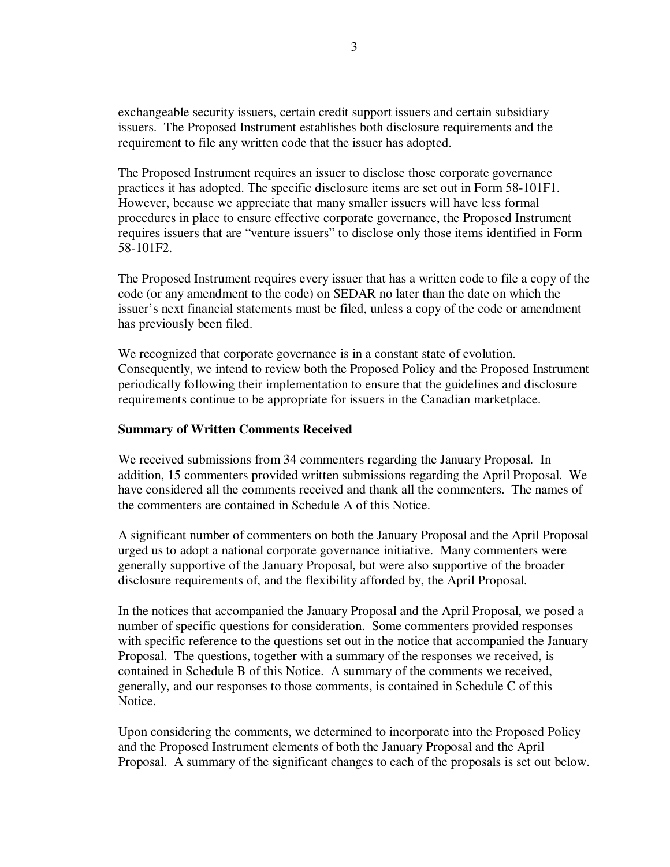exchangeable security issuers, certain credit support issuers and certain subsidiary issuers. The Proposed Instrument establishes both disclosure requirements and the requirement to file any written code that the issuer has adopted.

The Proposed Instrument requires an issuer to disclose those corporate governance practices it has adopted. The specific disclosure items are set out in Form 58-101F1. However, because we appreciate that many smaller issuers will have less formal procedures in place to ensure effective corporate governance, the Proposed Instrument requires issuers that are "venture issuers" to disclose only those items identified in Form 58-101F2.

The Proposed Instrument requires every issuer that has a written code to file a copy of the code (or any amendment to the code) on SEDAR no later than the date on which the issuer's next financial statements must be filed, unless a copy of the code or amendment has previously been filed.

We recognized that corporate governance is in a constant state of evolution. Consequently, we intend to review both the Proposed Policy and the Proposed Instrument periodically following their implementation to ensure that the guidelines and disclosure requirements continue to be appropriate for issuers in the Canadian marketplace.

### **Summary of Written Comments Received**

We received submissions from 34 commenters regarding the January Proposal. In addition, 15 commenters provided written submissions regarding the April Proposal. We have considered all the comments received and thank all the commenters. The names of the commenters are contained in Schedule A of this Notice.

A significant number of commenters on both the January Proposal and the April Proposal urged us to adopt a national corporate governance initiative. Many commenters were generally supportive of the January Proposal, but were also supportive of the broader disclosure requirements of, and the flexibility afforded by, the April Proposal.

In the notices that accompanied the January Proposal and the April Proposal, we posed a number of specific questions for consideration. Some commenters provided responses with specific reference to the questions set out in the notice that accompanied the January Proposal. The questions, together with a summary of the responses we received, is contained in Schedule B of this Notice. A summary of the comments we received, generally, and our responses to those comments, is contained in Schedule C of this Notice.

Upon considering the comments, we determined to incorporate into the Proposed Policy and the Proposed Instrument elements of both the January Proposal and the April Proposal. A summary of the significant changes to each of the proposals is set out below.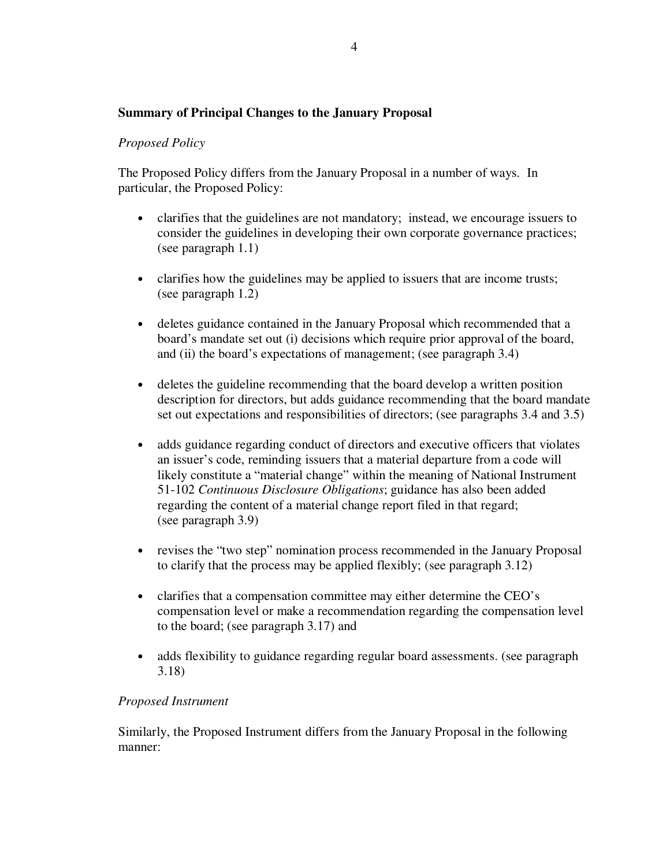# **Summary of Principal Changes to the January Proposal**

### *Proposed Policy*

The Proposed Policy differs from the January Proposal in a number of ways. In particular, the Proposed Policy:

- clarifies that the guidelines are not mandatory; instead, we encourage issuers to consider the guidelines in developing their own corporate governance practices; (see paragraph 1.1)
- clarifies how the guidelines may be applied to issuers that are income trusts; (see paragraph 1.2)
- deletes guidance contained in the January Proposal which recommended that a board's mandate set out (i) decisions which require prior approval of the board, and (ii) the board's expectations of management; (see paragraph 3.4)
- deletes the guideline recommending that the board develop a written position description for directors, but adds guidance recommending that the board mandate set out expectations and responsibilities of directors; (see paragraphs 3.4 and 3.5)
- adds guidance regarding conduct of directors and executive officers that violates an issuer's code, reminding issuers that a material departure from a code will likely constitute a "material change" within the meaning of National Instrument 51-102 *Continuous Disclosure Obligations*; guidance has also been added regarding the content of a material change report filed in that regard; (see paragraph 3.9)
- revises the "two step" nomination process recommended in the January Proposal to clarify that the process may be applied flexibly; (see paragraph 3.12)
- clarifies that a compensation committee may either determine the CEO's compensation level or make a recommendation regarding the compensation level to the board; (see paragraph 3.17) and
- adds flexibility to guidance regarding regular board assessments. (see paragraph 3.18)

### *Proposed Instrument*

Similarly, the Proposed Instrument differs from the January Proposal in the following manner: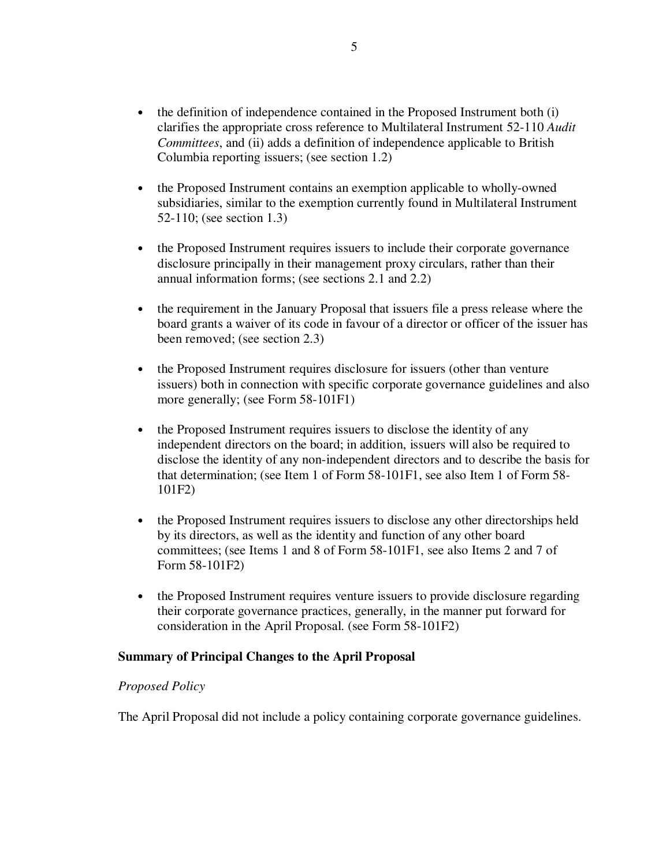- the definition of independence contained in the Proposed Instrument both (i) clarifies the appropriate cross reference to Multilateral Instrument 52-110 *Audit Committees*, and (ii) adds a definition of independence applicable to British Columbia reporting issuers; (see section 1.2)
- the Proposed Instrument contains an exemption applicable to wholly-owned subsidiaries, similar to the exemption currently found in Multilateral Instrument 52-110; (see section 1.3)
- the Proposed Instrument requires issuers to include their corporate governance disclosure principally in their management proxy circulars, rather than their annual information forms; (see sections 2.1 and 2.2)
- the requirement in the January Proposal that issuers file a press release where the board grants a waiver of its code in favour of a director or officer of the issuer has been removed; (see section 2.3)
- the Proposed Instrument requires disclosure for issuers (other than venture issuers) both in connection with specific corporate governance guidelines and also more generally; (see Form 58-101F1)
- the Proposed Instrument requires issuers to disclose the identity of any independent directors on the board; in addition, issuers will also be required to disclose the identity of any non-independent directors and to describe the basis for that determination; (see Item 1 of Form 58-101F1, see also Item 1 of Form 58- 101F2)
- the Proposed Instrument requires issuers to disclose any other directorships held by its directors, as well as the identity and function of any other board committees; (see Items 1 and 8 of Form 58-101F1, see also Items 2 and 7 of Form 58-101F2)
- the Proposed Instrument requires venture issuers to provide disclosure regarding their corporate governance practices, generally, in the manner put forward for consideration in the April Proposal. (see Form 58-101F2)

### **Summary of Principal Changes to the April Proposal**

### *Proposed Policy*

The April Proposal did not include a policy containing corporate governance guidelines.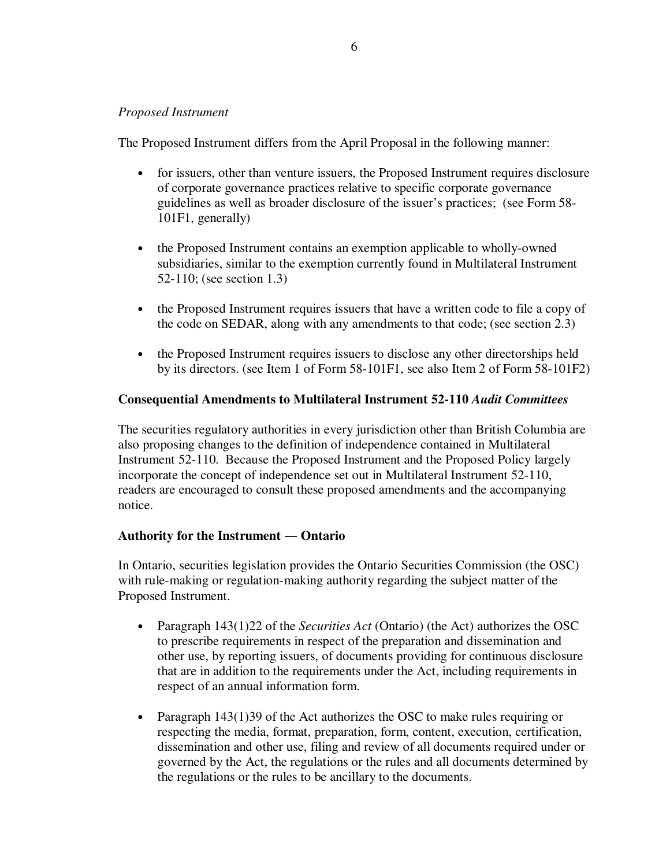### *Proposed Instrument*

The Proposed Instrument differs from the April Proposal in the following manner:

- for issuers, other than venture issuers, the Proposed Instrument requires disclosure of corporate governance practices relative to specific corporate governance guidelines as well as broader disclosure of the issuer's practices; (see Form 58- 101F1, generally)
- the Proposed Instrument contains an exemption applicable to wholly-owned subsidiaries, similar to the exemption currently found in Multilateral Instrument 52-110; (see section 1.3)
- the Proposed Instrument requires issuers that have a written code to file a copy of the code on SEDAR, along with any amendments to that code; (see section 2.3)
- the Proposed Instrument requires issuers to disclose any other directorships held by its directors. (see Item 1 of Form 58-101F1, see also Item 2 of Form 58-101F2)

### **Consequential Amendments to Multilateral Instrument 52-110** *Audit Committees*

The securities regulatory authorities in every jurisdiction other than British Columbia are also proposing changes to the definition of independence contained in Multilateral Instrument 52-110. Because the Proposed Instrument and the Proposed Policy largely incorporate the concept of independence set out in Multilateral Instrument 52-110, readers are encouraged to consult these proposed amendments and the accompanying notice.

### **Authority for the Instrument Ontario**

In Ontario, securities legislation provides the Ontario Securities Commission (the OSC) with rule-making or regulation-making authority regarding the subject matter of the Proposed Instrument.

- Paragraph 143(1)22 of the *Securities Act* (Ontario) (the Act) authorizes the OSC to prescribe requirements in respect of the preparation and dissemination and other use, by reporting issuers, of documents providing for continuous disclosure that are in addition to the requirements under the Act, including requirements in respect of an annual information form.
- Paragraph 143(1)39 of the Act authorizes the OSC to make rules requiring or respecting the media, format, preparation, form, content, execution, certification, dissemination and other use, filing and review of all documents required under or governed by the Act, the regulations or the rules and all documents determined by the regulations or the rules to be ancillary to the documents.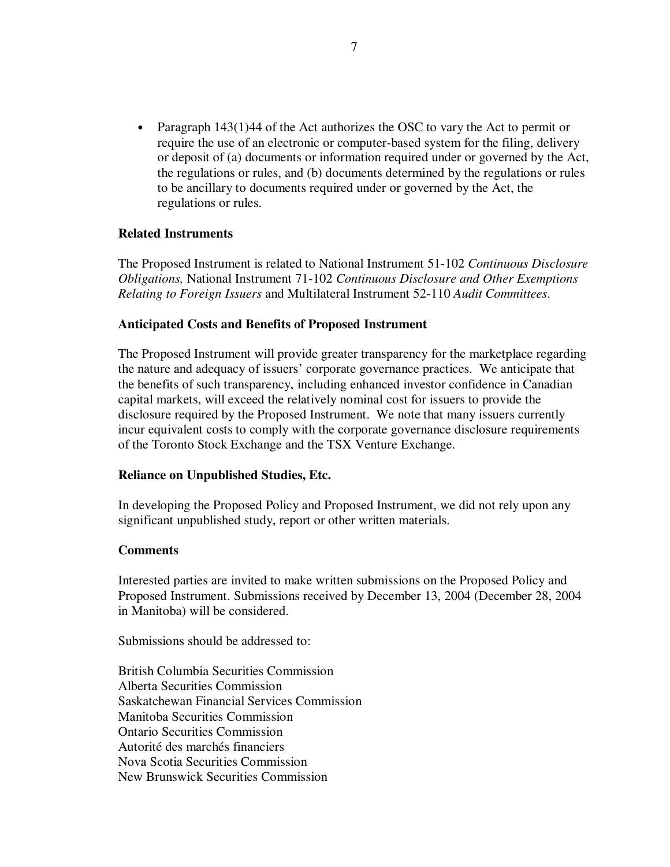• Paragraph 143(1)44 of the Act authorizes the OSC to vary the Act to permit or require the use of an electronic or computer-based system for the filing, delivery or deposit of (a) documents or information required under or governed by the Act, the regulations or rules, and (b) documents determined by the regulations or rules to be ancillary to documents required under or governed by the Act, the regulations or rules.

### **Related Instruments**

The Proposed Instrument is related to National Instrument 51-102 *Continuous Disclosure Obligations,* National Instrument 71-102 *Continuous Disclosure and Other Exemptions Relating to Foreign Issuers* and Multilateral Instrument 52-110 *Audit Committees*.

### **Anticipated Costs and Benefits of Proposed Instrument**

The Proposed Instrument will provide greater transparency for the marketplace regarding the nature and adequacy of issuers' corporate governance practices. We anticipate that the benefits of such transparency, including enhanced investor confidence in Canadian capital markets, will exceed the relatively nominal cost for issuers to provide the disclosure required by the Proposed Instrument. We note that many issuers currently incur equivalent costs to comply with the corporate governance disclosure requirements of the Toronto Stock Exchange and the TSX Venture Exchange.

### **Reliance on Unpublished Studies, Etc.**

In developing the Proposed Policy and Proposed Instrument, we did not rely upon any significant unpublished study, report or other written materials.

#### **Comments**

Interested parties are invited to make written submissions on the Proposed Policy and Proposed Instrument. Submissions received by December 13, 2004 (December 28, 2004 in Manitoba) will be considered.

Submissions should be addressed to:

British Columbia Securities Commission Alberta Securities Commission Saskatchewan Financial Services Commission Manitoba Securities Commission Ontario Securities Commission Autorité des marchés financiers Nova Scotia Securities Commission New Brunswick Securities Commission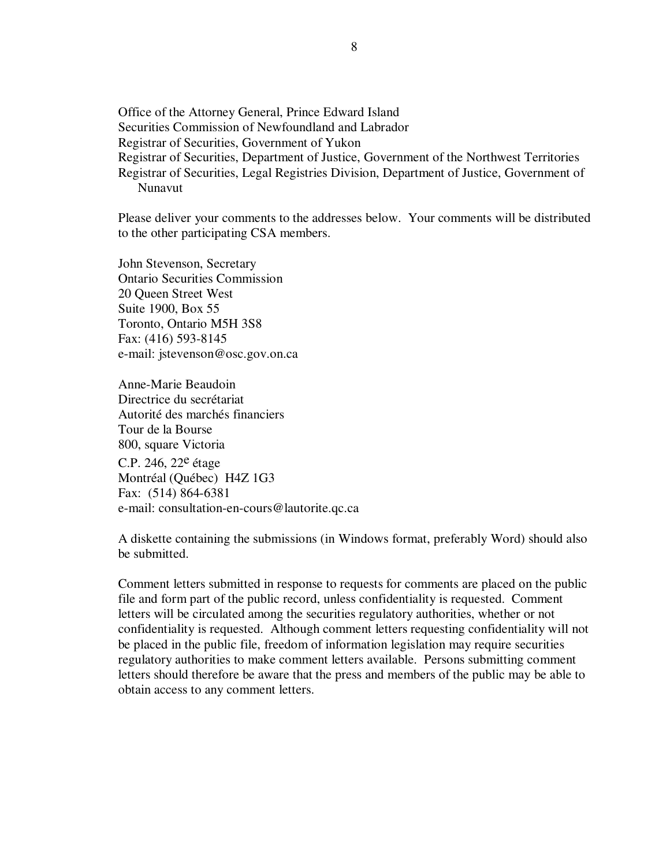Office of the Attorney General, Prince Edward Island Securities Commission of Newfoundland and Labrador Registrar of Securities, Government of Yukon Registrar of Securities, Department of Justice, Government of the Northwest Territories Registrar of Securities, Legal Registries Division, Department of Justice, Government of Nunavut

Please deliver your comments to the addresses below. Your comments will be distributed to the other participating CSA members.

John Stevenson, Secretary Ontario Securities Commission 20 Queen Street West Suite 1900, Box 55 Toronto, Ontario M5H 3S8 Fax: (416) 593-8145 e-mail: jstevenson@osc.gov.on.ca

Anne-Marie Beaudoin Directrice du secrétariat Autorité des marchés financiers Tour de la Bourse 800, square Victoria C.P. 246, 22<sup>e</sup> étage Montréal (Québec) H4Z 1G3 Fax: (514) 864-6381 e-mail: consultation-en-cours@lautorite.qc.ca

A diskette containing the submissions (in Windows format, preferably Word) should also be submitted.

Comment letters submitted in response to requests for comments are placed on the public file and form part of the public record, unless confidentiality is requested. Comment letters will be circulated among the securities regulatory authorities, whether or not confidentiality is requested. Although comment letters requesting confidentiality will not be placed in the public file, freedom of information legislation may require securities regulatory authorities to make comment letters available. Persons submitting comment letters should therefore be aware that the press and members of the public may be able to obtain access to any comment letters.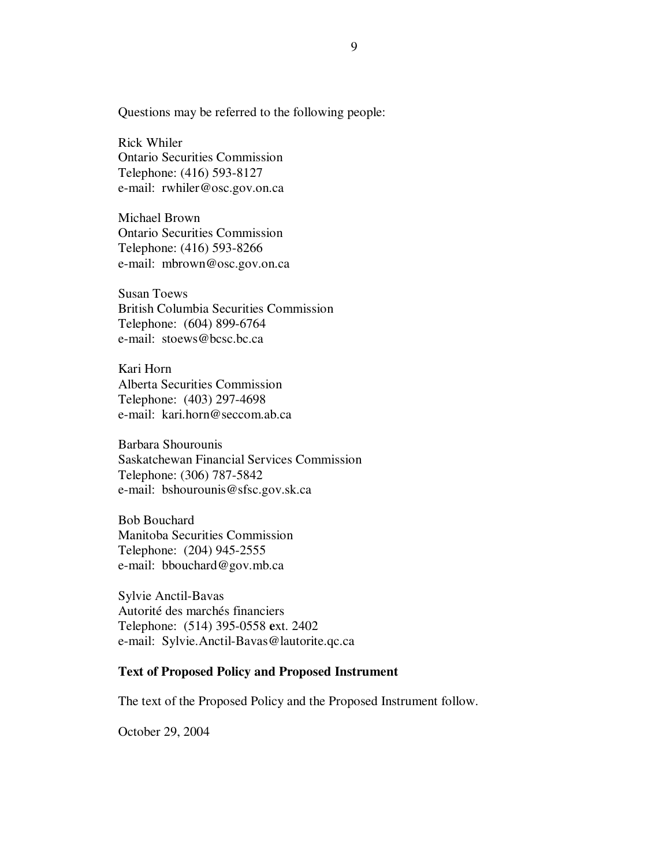Questions may be referred to the following people:

Rick Whiler Ontario Securities Commission Telephone: (416) 593-8127 e-mail: rwhiler@osc.gov.on.ca

Michael Brown Ontario Securities Commission Telephone: (416) 593-8266 e-mail: mbrown@osc.gov.on.ca

Susan Toews British Columbia Securities Commission Telephone: (604) 899-6764 e-mail: stoews@bcsc.bc.ca

Kari Horn Alberta Securities Commission Telephone: (403) 297-4698 e-mail: kari.horn@seccom.ab.ca

Barbara Shourounis Saskatchewan Financial Services Commission Telephone: (306) 787-5842 e-mail: bshourounis@sfsc.gov.sk.ca

Bob Bouchard Manitoba Securities Commission Telephone: (204) 945-2555 e-mail: bbouchard@gov.mb.ca

Sylvie Anctil-Bavas Autorité des marchés financiers Telephone: (514) 395-0558 **e**xt. 2402 e-mail: Sylvie.Anctil-Bavas@lautorite.qc.ca

### **Text of Proposed Policy and Proposed Instrument**

The text of the Proposed Policy and the Proposed Instrument follow.

October 29, 2004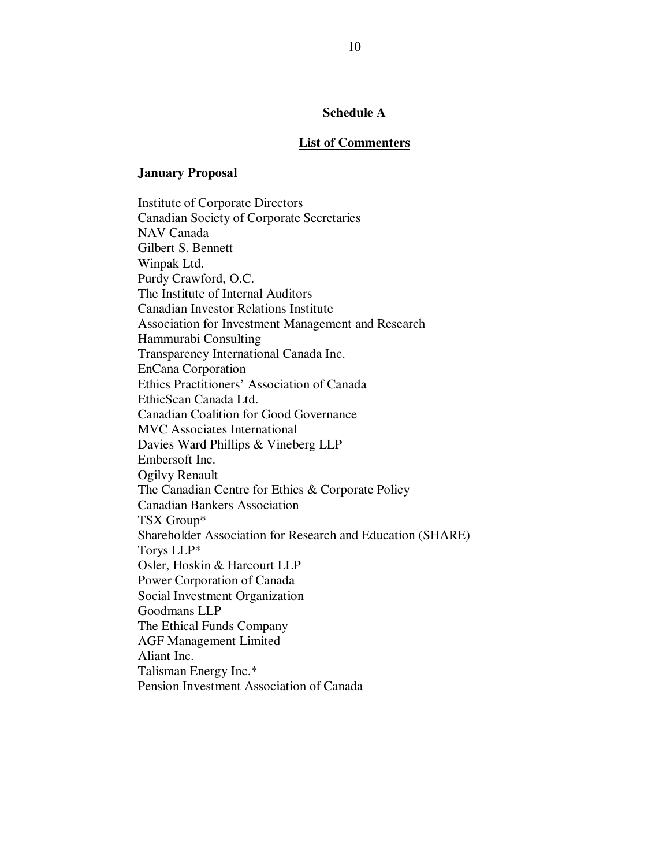### **Schedule A**

#### **List of Commenters**

#### **January Proposal**

Institute of Corporate Directors Canadian Society of Corporate Secretaries NAV Canada Gilbert S. Bennett Winpak Ltd. Purdy Crawford, O.C. The Institute of Internal Auditors Canadian Investor Relations Institute Association for Investment Management and Research Hammurabi Consulting Transparency International Canada Inc. EnCana Corporation Ethics Practitioners' Association of Canada EthicScan Canada Ltd. Canadian Coalition for Good Governance MVC Associates International Davies Ward Phillips & Vineberg LLP Embersoft Inc. Ogilvy Renault The Canadian Centre for Ethics & Corporate Policy Canadian Bankers Association TSX Group\* Shareholder Association for Research and Education (SHARE) Torys LLP\* Osler, Hoskin & Harcourt LLP Power Corporation of Canada Social Investment Organization Goodmans LLP The Ethical Funds Company AGF Management Limited Aliant Inc. Talisman Energy Inc.\* Pension Investment Association of Canada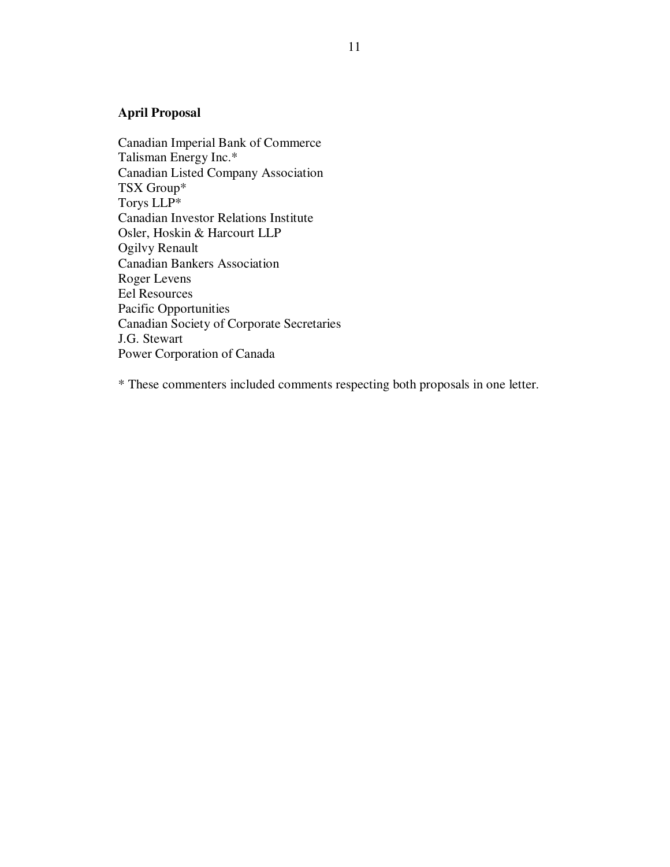# **April Proposal**

Canadian Imperial Bank of Commerce Talisman Energy Inc.\* Canadian Listed Company Association TSX Group\* Torys LLP\* Canadian Investor Relations Institute Osler, Hoskin & Harcourt LLP Ogilvy Renault Canadian Bankers Association Roger Levens Eel Resources Pacific Opportunities Canadian Society of Corporate Secretaries J.G. Stewart Power Corporation of Canada

\* These commenters included comments respecting both proposals in one letter.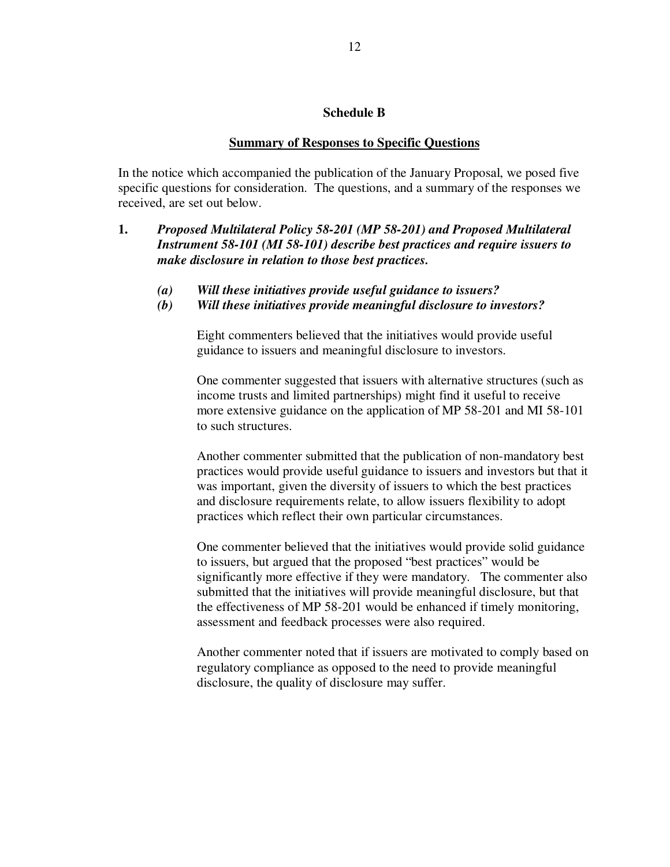#### **Schedule B**

#### **Summary of Responses to Specific Questions**

In the notice which accompanied the publication of the January Proposal, we posed five specific questions for consideration. The questions, and a summary of the responses we received, are set out below.

- **1.** *Proposed Multilateral Policy 58-201 (MP 58-201) and Proposed Multilateral Instrument 58-101 (MI 58-101) describe best practices and require issuers to make disclosure in relation to those best practices.*
	- *(a) Will these initiatives provide useful guidance to issuers?*
	- *(b) Will these initiatives provide meaningful disclosure to investors?*

Eight commenters believed that the initiatives would provide useful guidance to issuers and meaningful disclosure to investors.

One commenter suggested that issuers with alternative structures (such as income trusts and limited partnerships) might find it useful to receive more extensive guidance on the application of MP 58-201 and MI 58-101 to such structures.

Another commenter submitted that the publication of non-mandatory best practices would provide useful guidance to issuers and investors but that it was important, given the diversity of issuers to which the best practices and disclosure requirements relate, to allow issuers flexibility to adopt practices which reflect their own particular circumstances.

One commenter believed that the initiatives would provide solid guidance to issuers, but argued that the proposed "best practices" would be significantly more effective if they were mandatory. The commenter also submitted that the initiatives will provide meaningful disclosure, but that the effectiveness of MP 58-201 would be enhanced if timely monitoring, assessment and feedback processes were also required.

Another commenter noted that if issuers are motivated to comply based on regulatory compliance as opposed to the need to provide meaningful disclosure, the quality of disclosure may suffer.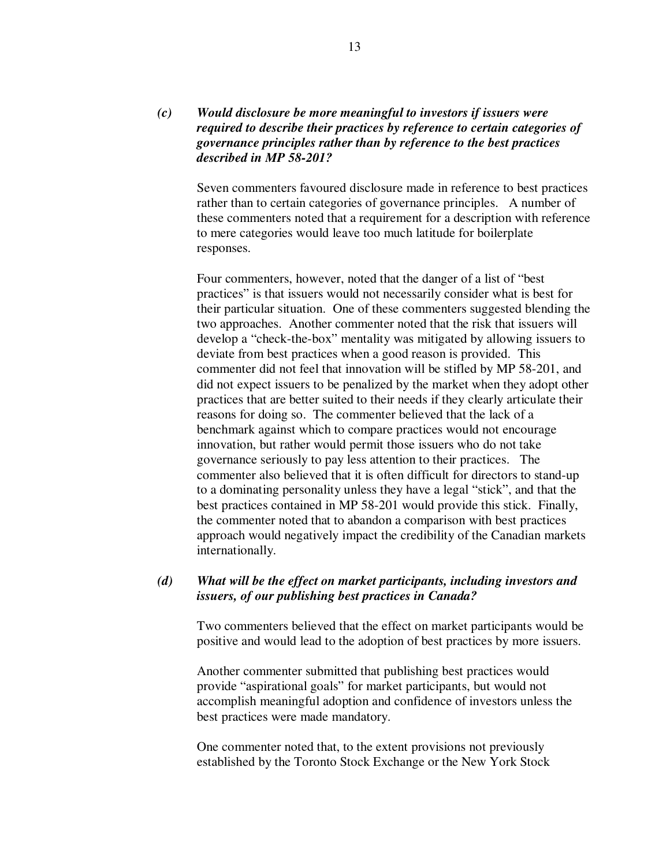### *(c) Would disclosure be more meaningful to investors if issuers were required to describe their practices by reference to certain categories of governance principles rather than by reference to the best practices described in MP 58-201?*

Seven commenters favoured disclosure made in reference to best practices rather than to certain categories of governance principles. A number of these commenters noted that a requirement for a description with reference to mere categories would leave too much latitude for boilerplate responses.

Four commenters, however, noted that the danger of a list of "best practices" is that issuers would not necessarily consider what is best for their particular situation. One of these commenters suggested blending the two approaches. Another commenter noted that the risk that issuers will develop a "check-the-box" mentality was mitigated by allowing issuers to deviate from best practices when a good reason is provided. This commenter did not feel that innovation will be stifled by MP 58-201, and did not expect issuers to be penalized by the market when they adopt other practices that are better suited to their needs if they clearly articulate their reasons for doing so. The commenter believed that the lack of a benchmark against which to compare practices would not encourage innovation, but rather would permit those issuers who do not take governance seriously to pay less attention to their practices. The commenter also believed that it is often difficult for directors to stand-up to a dominating personality unless they have a legal "stick", and that the best practices contained in MP 58-201 would provide this stick. Finally, the commenter noted that to abandon a comparison with best practices approach would negatively impact the credibility of the Canadian markets internationally.

### *(d) What will be the effect on market participants, including investors and issuers, of our publishing best practices in Canada?*

Two commenters believed that the effect on market participants would be positive and would lead to the adoption of best practices by more issuers.

Another commenter submitted that publishing best practices would provide "aspirational goals" for market participants, but would not accomplish meaningful adoption and confidence of investors unless the best practices were made mandatory.

One commenter noted that, to the extent provisions not previously established by the Toronto Stock Exchange or the New York Stock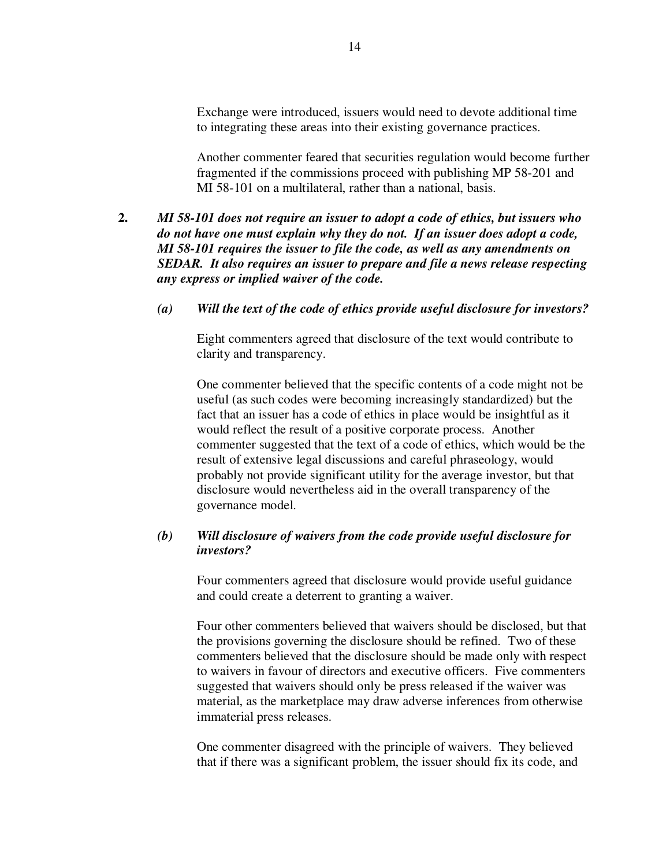Exchange were introduced, issuers would need to devote additional time to integrating these areas into their existing governance practices.

Another commenter feared that securities regulation would become further fragmented if the commissions proceed with publishing MP 58-201 and MI 58-101 on a multilateral, rather than a national, basis.

- **2.** *MI 58-101 does not require an issuer to adopt a code of ethics, but issuers who do not have one must explain why they do not. If an issuer does adopt a code, MI 58-101 requires the issuer to file the code, as well as any amendments on SEDAR. It also requires an issuer to prepare and file a news release respecting any express or implied waiver of the code.*
	- *(a) Will the text of the code of ethics provide useful disclosure for investors?*

Eight commenters agreed that disclosure of the text would contribute to clarity and transparency.

One commenter believed that the specific contents of a code might not be useful (as such codes were becoming increasingly standardized) but the fact that an issuer has a code of ethics in place would be insightful as it would reflect the result of a positive corporate process. Another commenter suggested that the text of a code of ethics, which would be the result of extensive legal discussions and careful phraseology, would probably not provide significant utility for the average investor, but that disclosure would nevertheless aid in the overall transparency of the governance model.

### *(b) Will disclosure of waivers from the code provide useful disclosure for investors?*

Four commenters agreed that disclosure would provide useful guidance and could create a deterrent to granting a waiver.

Four other commenters believed that waivers should be disclosed, but that the provisions governing the disclosure should be refined. Two of these commenters believed that the disclosure should be made only with respect to waivers in favour of directors and executive officers. Five commenters suggested that waivers should only be press released if the waiver was material, as the marketplace may draw adverse inferences from otherwise immaterial press releases.

One commenter disagreed with the principle of waivers. They believed that if there was a significant problem, the issuer should fix its code, and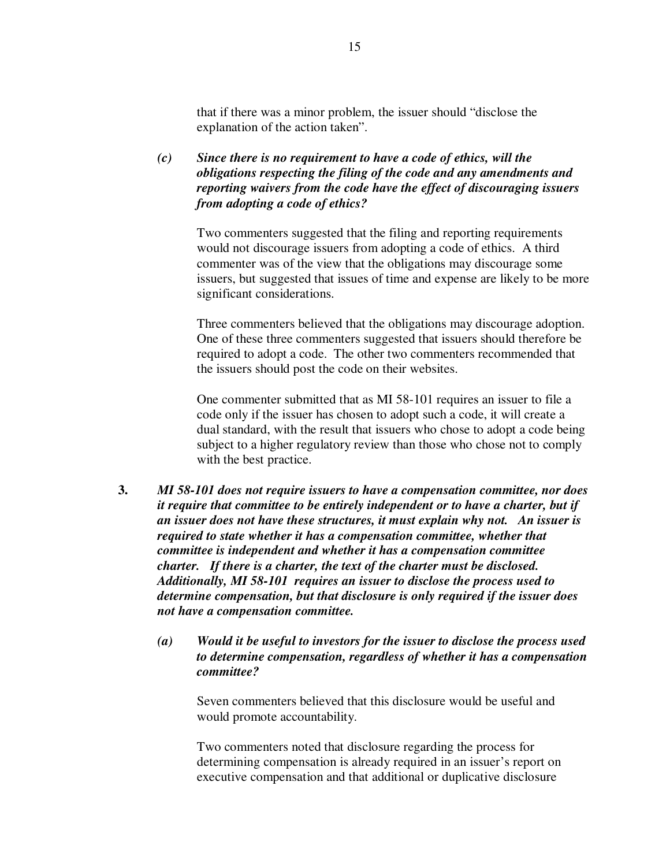that if there was a minor problem, the issuer should "disclose the explanation of the action taken".

*(c) Since there is no requirement to have a code of ethics, will the obligations respecting the filing of the code and any amendments and reporting waivers from the code have the effect of discouraging issuers from adopting a code of ethics?*

Two commenters suggested that the filing and reporting requirements would not discourage issuers from adopting a code of ethics. A third commenter was of the view that the obligations may discourage some issuers, but suggested that issues of time and expense are likely to be more significant considerations.

Three commenters believed that the obligations may discourage adoption. One of these three commenters suggested that issuers should therefore be required to adopt a code. The other two commenters recommended that the issuers should post the code on their websites.

One commenter submitted that as MI 58-101 requires an issuer to file a code only if the issuer has chosen to adopt such a code, it will create a dual standard, with the result that issuers who chose to adopt a code being subject to a higher regulatory review than those who chose not to comply with the best practice.

- **3.** *MI 58-101 does not require issuers to have a compensation committee, nor does it require that committee to be entirely independent or to have a charter, but if an issuer does not have these structures, it must explain why not. An issuer is required to state whether it has a compensation committee, whether that committee is independent and whether it has a compensation committee charter. If there is a charter, the text of the charter must be disclosed. Additionally, MI 58-101 requires an issuer to disclose the process used to determine compensation, but that disclosure is only required if the issuer does not have a compensation committee.*
	- *(a) Would it be useful to investors for the issuer to disclose the process used to determine compensation, regardless of whether it has a compensation committee?*

Seven commenters believed that this disclosure would be useful and would promote accountability.

Two commenters noted that disclosure regarding the process for determining compensation is already required in an issuer's report on executive compensation and that additional or duplicative disclosure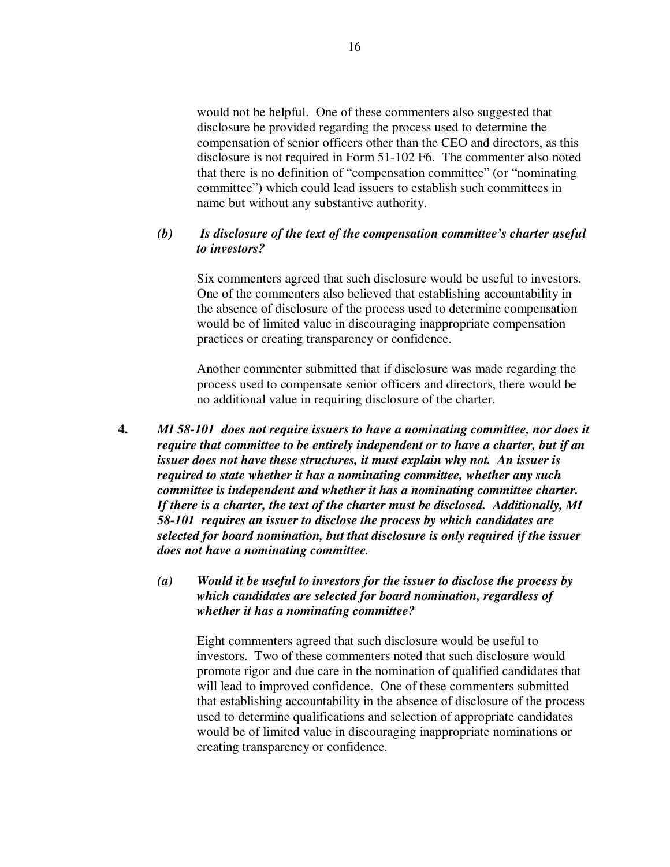would not be helpful. One of these commenters also suggested that disclosure be provided regarding the process used to determine the compensation of senior officers other than the CEO and directors, as this disclosure is not required in Form 51-102 F6. The commenter also noted that there is no definition of "compensation committee" (or "nominating committee") which could lead issuers to establish such committees in name but without any substantive authority.

### *(b) Is disclosure of the text of the compensation committee's charter useful to investors?*

Six commenters agreed that such disclosure would be useful to investors. One of the commenters also believed that establishing accountability in the absence of disclosure of the process used to determine compensation would be of limited value in discouraging inappropriate compensation practices or creating transparency or confidence.

Another commenter submitted that if disclosure was made regarding the process used to compensate senior officers and directors, there would be no additional value in requiring disclosure of the charter.

**4.** *MI 58-101 does not require issuers to have a nominating committee, nor does it require that committee to be entirely independent or to have a charter, but if an issuer does not have these structures, it must explain why not. An issuer is required to state whether it has a nominating committee, whether any such committee is independent and whether it has a nominating committee charter. If there is a charter, the text of the charter must be disclosed. Additionally, MI 58-101 requires an issuer to disclose the process by which candidates are selected for board nomination, but that disclosure is only required if the issuer does not have a nominating committee.*

### *(a) Would it be useful to investors for the issuer to disclose the process by which candidates are selected for board nomination, regardless of whether it has a nominating committee?*

Eight commenters agreed that such disclosure would be useful to investors. Two of these commenters noted that such disclosure would promote rigor and due care in the nomination of qualified candidates that will lead to improved confidence. One of these commenters submitted that establishing accountability in the absence of disclosure of the process used to determine qualifications and selection of appropriate candidates would be of limited value in discouraging inappropriate nominations or creating transparency or confidence.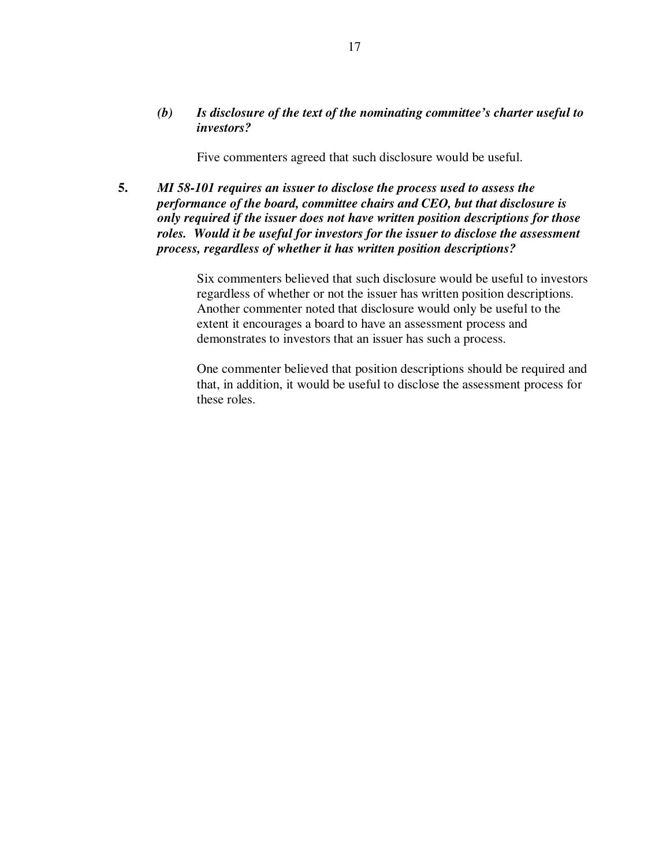### *(b) Is disclosure of the text of the nominating committee's charter useful to investors?*

Five commenters agreed that such disclosure would be useful.

**5.** *MI 58-101 requires an issuer to disclose the process used to assess the performance of the board, committee chairs and CEO, but that disclosure is only required if the issuer does not have written position descriptions for those roles. Would it be useful for investors for the issuer to disclose the assessment process, regardless of whether it has written position descriptions?*

> Six commenters believed that such disclosure would be useful to investors regardless of whether or not the issuer has written position descriptions. Another commenter noted that disclosure would only be useful to the extent it encourages a board to have an assessment process and demonstrates to investors that an issuer has such a process.

> One commenter believed that position descriptions should be required and that, in addition, it would be useful to disclose the assessment process for these roles.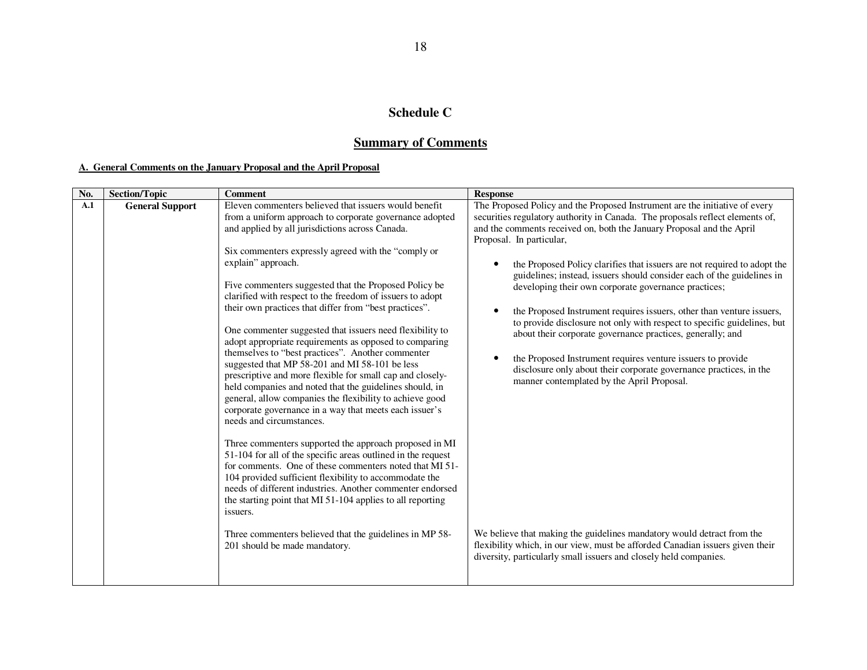#### **Schedule C**

# **Summary of Comments**

#### **A. General Comments on the January Proposal and the April Proposal**

| No. | <b>Section/Topic</b>   | <b>Comment</b>                                                                                                                                                                                                                                                                                                                                                                                                                                                                                                                                                                                                                                                                                                                                                                                                                                                                                                                                                                                                                                                                                                                                                                                                                                                                                                                                                                                                            | <b>Response</b>                                                                                                                                                                                                                                                                                                                                                                                                                                                                                                                                                                                                                                                                                                                                                                                                                                                                                                                                                                                                                                                                                                                        |
|-----|------------------------|---------------------------------------------------------------------------------------------------------------------------------------------------------------------------------------------------------------------------------------------------------------------------------------------------------------------------------------------------------------------------------------------------------------------------------------------------------------------------------------------------------------------------------------------------------------------------------------------------------------------------------------------------------------------------------------------------------------------------------------------------------------------------------------------------------------------------------------------------------------------------------------------------------------------------------------------------------------------------------------------------------------------------------------------------------------------------------------------------------------------------------------------------------------------------------------------------------------------------------------------------------------------------------------------------------------------------------------------------------------------------------------------------------------------------|----------------------------------------------------------------------------------------------------------------------------------------------------------------------------------------------------------------------------------------------------------------------------------------------------------------------------------------------------------------------------------------------------------------------------------------------------------------------------------------------------------------------------------------------------------------------------------------------------------------------------------------------------------------------------------------------------------------------------------------------------------------------------------------------------------------------------------------------------------------------------------------------------------------------------------------------------------------------------------------------------------------------------------------------------------------------------------------------------------------------------------------|
| A.1 | <b>General Support</b> | Eleven commenters believed that issuers would benefit<br>from a uniform approach to corporate governance adopted<br>and applied by all jurisdictions across Canada.<br>Six commenters expressly agreed with the "comply or<br>explain" approach.<br>Five commenters suggested that the Proposed Policy be<br>clarified with respect to the freedom of issuers to adopt<br>their own practices that differ from "best practices".<br>One commenter suggested that issuers need flexibility to<br>adopt appropriate requirements as opposed to comparing<br>themselves to "best practices". Another commenter<br>suggested that MP 58-201 and MI 58-101 be less<br>prescriptive and more flexible for small cap and closely-<br>held companies and noted that the guidelines should, in<br>general, allow companies the flexibility to achieve good<br>corporate governance in a way that meets each issuer's<br>needs and circumstances.<br>Three commenters supported the approach proposed in MI<br>51-104 for all of the specific areas outlined in the request<br>for comments. One of these commenters noted that MI 51-<br>104 provided sufficient flexibility to accommodate the<br>needs of different industries. Another commenter endorsed<br>the starting point that MI 51-104 applies to all reporting<br>issuers.<br>Three commenters believed that the guidelines in MP 58-<br>201 should be made mandatory. | The Proposed Policy and the Proposed Instrument are the initiative of every<br>securities regulatory authority in Canada. The proposals reflect elements of,<br>and the comments received on, both the January Proposal and the April<br>Proposal. In particular,<br>the Proposed Policy clarifies that issuers are not required to adopt the<br>guidelines; instead, issuers should consider each of the guidelines in<br>developing their own corporate governance practices;<br>the Proposed Instrument requires issuers, other than venture issuers,<br>$\bullet$<br>to provide disclosure not only with respect to specific guidelines, but<br>about their corporate governance practices, generally; and<br>the Proposed Instrument requires venture issuers to provide<br>٠<br>disclosure only about their corporate governance practices, in the<br>manner contemplated by the April Proposal.<br>We believe that making the guidelines mandatory would detract from the<br>flexibility which, in our view, must be afforded Canadian issuers given their<br>diversity, particularly small issuers and closely held companies. |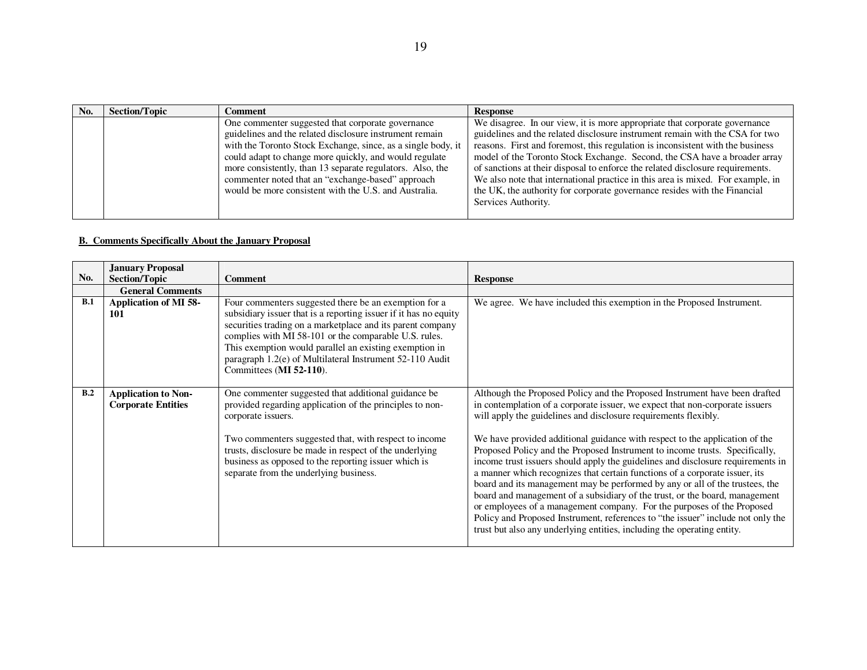| No. | <b>Section/Topic</b> | Comment                                                                                                                                                                                                                                | <b>Response</b>                                                                                                                                                                                                                                                                                                           |
|-----|----------------------|----------------------------------------------------------------------------------------------------------------------------------------------------------------------------------------------------------------------------------------|---------------------------------------------------------------------------------------------------------------------------------------------------------------------------------------------------------------------------------------------------------------------------------------------------------------------------|
|     |                      | One commenter suggested that corporate governance<br>guidelines and the related disclosure instrument remain<br>with the Toronto Stock Exchange, since, as a single body, it<br>could adapt to change more quickly, and would regulate | We disagree. In our view, it is more appropriate that corporate governance<br>guidelines and the related disclosure instrument remain with the CSA for two<br>reasons. First and foremost, this regulation is inconsistent with the business<br>model of the Toronto Stock Exchange. Second, the CSA have a broader array |
|     |                      | more consistently, than 13 separate regulators. Also, the<br>commenter noted that an "exchange-based" approach<br>would be more consistent with the U.S. and Australia.                                                                | of sanctions at their disposal to enforce the related disclosure requirements.<br>We also note that international practice in this area is mixed. For example, in<br>the UK, the authority for corporate governance resides with the Financial<br>Services Authority.                                                     |

#### **B. Comments Specifically About the January Proposal**

|     | <b>January Proposal</b>                                 |                                                                                                                                                                                                                                                                                                                                                                                                   |                                                                                                                                                                                                                                                                                                                                                                                                                                                                                                                                                                                                                                                                                                                                                                                                                                                                                                                                                                      |
|-----|---------------------------------------------------------|---------------------------------------------------------------------------------------------------------------------------------------------------------------------------------------------------------------------------------------------------------------------------------------------------------------------------------------------------------------------------------------------------|----------------------------------------------------------------------------------------------------------------------------------------------------------------------------------------------------------------------------------------------------------------------------------------------------------------------------------------------------------------------------------------------------------------------------------------------------------------------------------------------------------------------------------------------------------------------------------------------------------------------------------------------------------------------------------------------------------------------------------------------------------------------------------------------------------------------------------------------------------------------------------------------------------------------------------------------------------------------|
| No. | <b>Section/Topic</b>                                    | <b>Comment</b>                                                                                                                                                                                                                                                                                                                                                                                    | <b>Response</b>                                                                                                                                                                                                                                                                                                                                                                                                                                                                                                                                                                                                                                                                                                                                                                                                                                                                                                                                                      |
|     | <b>General Comments</b>                                 |                                                                                                                                                                                                                                                                                                                                                                                                   |                                                                                                                                                                                                                                                                                                                                                                                                                                                                                                                                                                                                                                                                                                                                                                                                                                                                                                                                                                      |
| B.1 | Application of MI 58-<br><b>101</b>                     | Four commenters suggested there be an exemption for a<br>subsidiary issuer that is a reporting issuer if it has no equity<br>securities trading on a marketplace and its parent company<br>complies with MI 58-101 or the comparable U.S. rules.<br>This exemption would parallel an existing exemption in<br>paragraph 1.2(e) of Multilateral Instrument 52-110 Audit<br>Committees (MI 52-110). | We agree. We have included this exemption in the Proposed Instrument.                                                                                                                                                                                                                                                                                                                                                                                                                                                                                                                                                                                                                                                                                                                                                                                                                                                                                                |
| B.2 | <b>Application to Non-</b><br><b>Corporate Entities</b> | One commenter suggested that additional guidance be<br>provided regarding application of the principles to non-<br>corporate issuers.<br>Two commenters suggested that, with respect to income<br>trusts, disclosure be made in respect of the underlying<br>business as opposed to the reporting issuer which is<br>separate from the underlying business.                                       | Although the Proposed Policy and the Proposed Instrument have been drafted<br>in contemplation of a corporate issuer, we expect that non-corporate issuers<br>will apply the guidelines and disclosure requirements flexibly.<br>We have provided additional guidance with respect to the application of the<br>Proposed Policy and the Proposed Instrument to income trusts. Specifically,<br>income trust issuers should apply the guidelines and disclosure requirements in<br>a manner which recognizes that certain functions of a corporate issuer, its<br>board and its management may be performed by any or all of the trustees, the<br>board and management of a subsidiary of the trust, or the board, management<br>or employees of a management company. For the purposes of the Proposed<br>Policy and Proposed Instrument, references to "the issuer" include not only the<br>trust but also any underlying entities, including the operating entity. |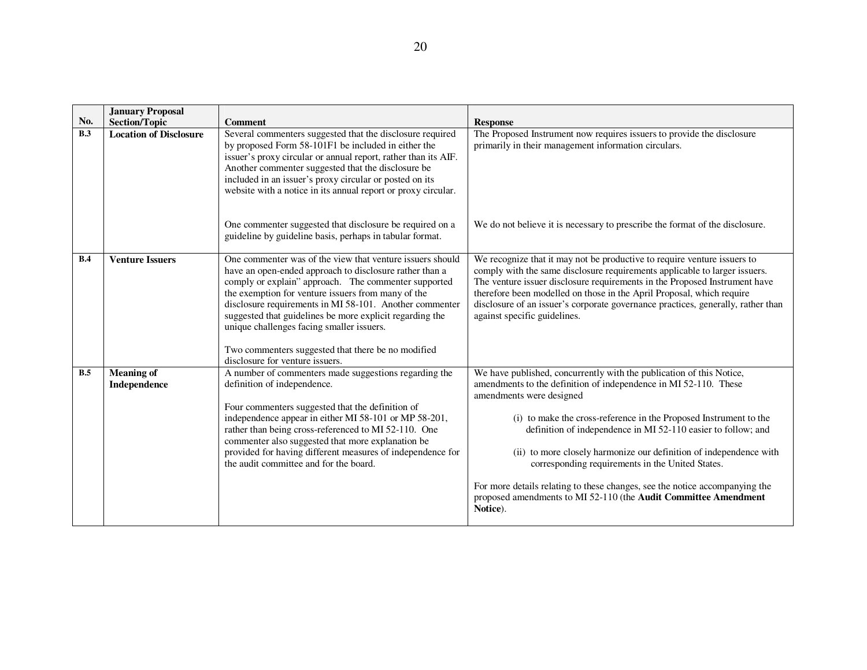|     | <b>January Proposal</b>           |                                                                                                                                                                                                                                                                                                                                                                                                                                                                                                 |                                                                                                                                                                                                                                                                                                                                                                                                                                                                                                                                                                                                    |
|-----|-----------------------------------|-------------------------------------------------------------------------------------------------------------------------------------------------------------------------------------------------------------------------------------------------------------------------------------------------------------------------------------------------------------------------------------------------------------------------------------------------------------------------------------------------|----------------------------------------------------------------------------------------------------------------------------------------------------------------------------------------------------------------------------------------------------------------------------------------------------------------------------------------------------------------------------------------------------------------------------------------------------------------------------------------------------------------------------------------------------------------------------------------------------|
| No. | <b>Section/Topic</b>              | <b>Comment</b>                                                                                                                                                                                                                                                                                                                                                                                                                                                                                  | <b>Response</b>                                                                                                                                                                                                                                                                                                                                                                                                                                                                                                                                                                                    |
| B.3 | <b>Location of Disclosure</b>     | Several commenters suggested that the disclosure required<br>by proposed Form 58-101F1 be included in either the<br>issuer's proxy circular or annual report, rather than its AIF.<br>Another commenter suggested that the disclosure be<br>included in an issuer's proxy circular or posted on its<br>website with a notice in its annual report or proxy circular.                                                                                                                            | The Proposed Instrument now requires issuers to provide the disclosure<br>primarily in their management information circulars.                                                                                                                                                                                                                                                                                                                                                                                                                                                                     |
|     |                                   | One commenter suggested that disclosure be required on a<br>guideline by guideline basis, perhaps in tabular format.                                                                                                                                                                                                                                                                                                                                                                            | We do not believe it is necessary to prescribe the format of the disclosure.                                                                                                                                                                                                                                                                                                                                                                                                                                                                                                                       |
| B.4 | <b>Venture Issuers</b>            | One commenter was of the view that venture issuers should<br>have an open-ended approach to disclosure rather than a<br>comply or explain" approach. The commenter supported<br>the exemption for venture issuers from many of the<br>disclosure requirements in MI 58-101. Another commenter<br>suggested that guidelines be more explicit regarding the<br>unique challenges facing smaller issuers.<br>Two commenters suggested that there be no modified<br>disclosure for venture issuers. | We recognize that it may not be productive to require venture issuers to<br>comply with the same disclosure requirements applicable to larger issuers.<br>The venture issuer disclosure requirements in the Proposed Instrument have<br>therefore been modelled on those in the April Proposal, which require<br>disclosure of an issuer's corporate governance practices, generally, rather than<br>against specific guidelines.                                                                                                                                                                  |
| B.5 | <b>Meaning of</b><br>Independence | A number of commenters made suggestions regarding the<br>definition of independence.<br>Four commenters suggested that the definition of<br>independence appear in either MI 58-101 or MP 58-201,<br>rather than being cross-referenced to MI 52-110. One<br>commenter also suggested that more explanation be<br>provided for having different measures of independence for<br>the audit committee and for the board.                                                                          | We have published, concurrently with the publication of this Notice,<br>amendments to the definition of independence in MI 52-110. These<br>amendments were designed<br>(i) to make the cross-reference in the Proposed Instrument to the<br>definition of independence in MI 52-110 easier to follow; and<br>(ii) to more closely harmonize our definition of independence with<br>corresponding requirements in the United States.<br>For more details relating to these changes, see the notice accompanying the<br>proposed amendments to MI 52-110 (the Audit Committee Amendment<br>Notice). |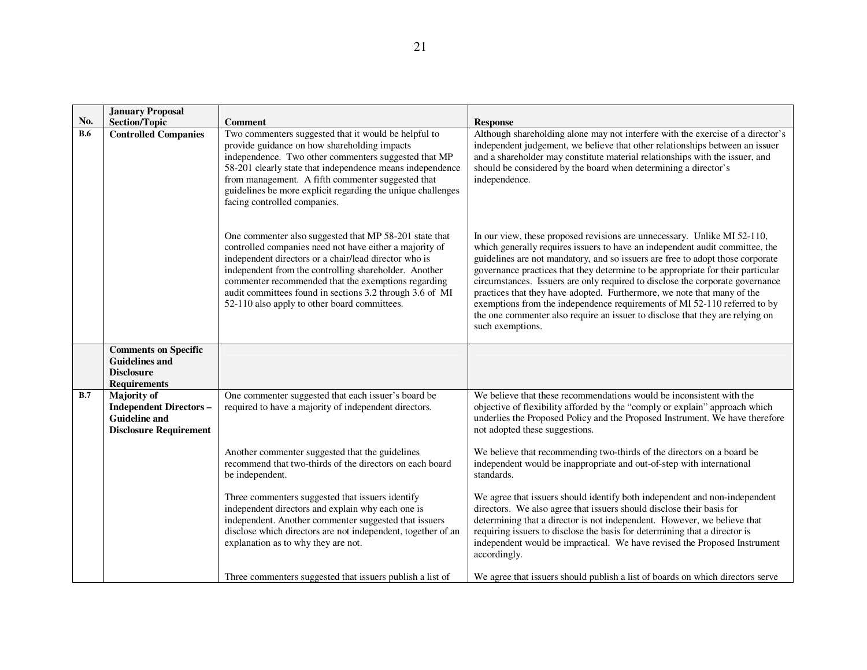|            | <b>January Proposal</b>                                                                                       |                                                                                                                                                                                                                                                                                                                                                                                                        |                                                                                                                                                                                                                                                                                                                                                                                                                                                                                                                                                                                                                                                                             |
|------------|---------------------------------------------------------------------------------------------------------------|--------------------------------------------------------------------------------------------------------------------------------------------------------------------------------------------------------------------------------------------------------------------------------------------------------------------------------------------------------------------------------------------------------|-----------------------------------------------------------------------------------------------------------------------------------------------------------------------------------------------------------------------------------------------------------------------------------------------------------------------------------------------------------------------------------------------------------------------------------------------------------------------------------------------------------------------------------------------------------------------------------------------------------------------------------------------------------------------------|
| No.        | <b>Section/Topic</b>                                                                                          | <b>Comment</b>                                                                                                                                                                                                                                                                                                                                                                                         | <b>Response</b>                                                                                                                                                                                                                                                                                                                                                                                                                                                                                                                                                                                                                                                             |
| <b>B.6</b> | <b>Controlled Companies</b>                                                                                   | Two commenters suggested that it would be helpful to<br>provide guidance on how shareholding impacts<br>independence. Two other commenters suggested that MP<br>58-201 clearly state that independence means independence<br>from management. A fifth commenter suggested that<br>guidelines be more explicit regarding the unique challenges<br>facing controlled companies.                          | Although shareholding alone may not interfere with the exercise of a director's<br>independent judgement, we believe that other relationships between an issuer<br>and a shareholder may constitute material relationships with the issuer, and<br>should be considered by the board when determining a director's<br>independence.                                                                                                                                                                                                                                                                                                                                         |
|            |                                                                                                               | One commenter also suggested that MP 58-201 state that<br>controlled companies need not have either a majority of<br>independent directors or a chair/lead director who is<br>independent from the controlling shareholder. Another<br>commenter recommended that the exemptions regarding<br>audit committees found in sections 3.2 through 3.6 of MI<br>52-110 also apply to other board committees. | In our view, these proposed revisions are unnecessary. Unlike MI 52-110,<br>which generally requires issuers to have an independent audit committee, the<br>guidelines are not mandatory, and so issuers are free to adopt those corporate<br>governance practices that they determine to be appropriate for their particular<br>circumstances. Issuers are only required to disclose the corporate governance<br>practices that they have adopted. Furthermore, we note that many of the<br>exemptions from the independence requirements of MI 52-110 referred to by<br>the one commenter also require an issuer to disclose that they are relying on<br>such exemptions. |
|            | <b>Comments on Specific</b><br><b>Guidelines and</b><br><b>Disclosure</b><br><b>Requirements</b>              |                                                                                                                                                                                                                                                                                                                                                                                                        |                                                                                                                                                                                                                                                                                                                                                                                                                                                                                                                                                                                                                                                                             |
| B.7        | <b>Majority of</b><br><b>Independent Directors -</b><br><b>Guideline and</b><br><b>Disclosure Requirement</b> | One commenter suggested that each issuer's board be<br>required to have a majority of independent directors.                                                                                                                                                                                                                                                                                           | We believe that these recommendations would be inconsistent with the<br>objective of flexibility afforded by the "comply or explain" approach which<br>underlies the Proposed Policy and the Proposed Instrument. We have therefore<br>not adopted these suggestions.                                                                                                                                                                                                                                                                                                                                                                                                       |
|            |                                                                                                               | Another commenter suggested that the guidelines<br>recommend that two-thirds of the directors on each board<br>be independent.                                                                                                                                                                                                                                                                         | We believe that recommending two-thirds of the directors on a board be<br>independent would be inappropriate and out-of-step with international<br>standards.                                                                                                                                                                                                                                                                                                                                                                                                                                                                                                               |
|            |                                                                                                               | Three commenters suggested that issuers identify<br>independent directors and explain why each one is<br>independent. Another commenter suggested that issuers<br>disclose which directors are not independent, together of an<br>explanation as to why they are not.                                                                                                                                  | We agree that issuers should identify both independent and non-independent<br>directors. We also agree that issuers should disclose their basis for<br>determining that a director is not independent. However, we believe that<br>requiring issuers to disclose the basis for determining that a director is<br>independent would be impractical. We have revised the Proposed Instrument<br>accordingly.                                                                                                                                                                                                                                                                  |
|            |                                                                                                               | Three commenters suggested that issuers publish a list of                                                                                                                                                                                                                                                                                                                                              | We agree that issuers should publish a list of boards on which directors serve                                                                                                                                                                                                                                                                                                                                                                                                                                                                                                                                                                                              |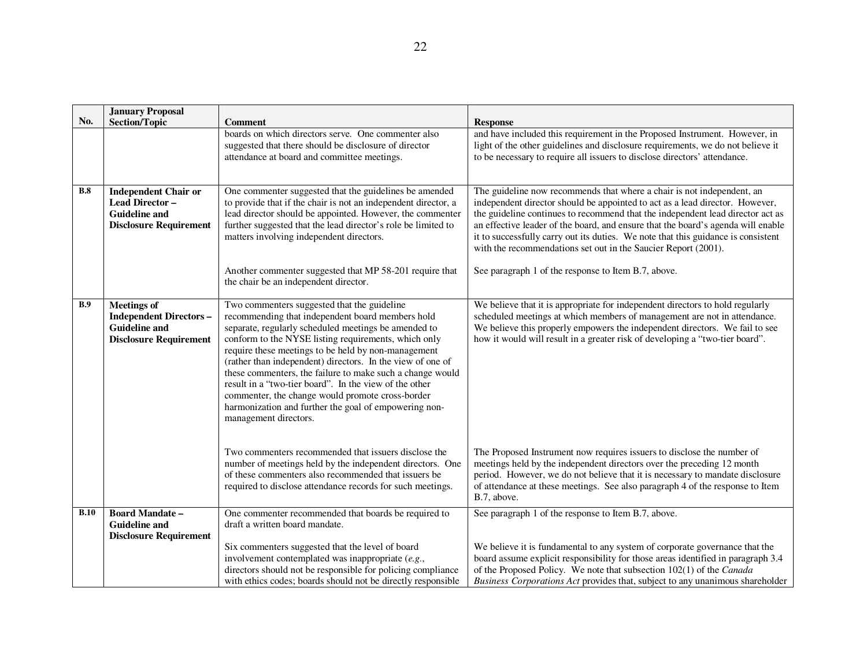| and have included this requirement in the Proposed Instrument. However, in<br>light of the other guidelines and disclosure requirements, we do not believe it<br>to be necessary to require all issuers to disclose directors' attendance.                                                                                                                                                                                                                                                                                                 |
|--------------------------------------------------------------------------------------------------------------------------------------------------------------------------------------------------------------------------------------------------------------------------------------------------------------------------------------------------------------------------------------------------------------------------------------------------------------------------------------------------------------------------------------------|
| The guideline now recommends that where a chair is not independent, an<br>independent director should be appointed to act as a lead director. However,<br>the guideline continues to recommend that the independent lead director act as<br>an effective leader of the board, and ensure that the board's agenda will enable<br>it to successfully carry out its duties. We note that this guidance is consistent<br>with the recommendations set out in the Saucier Report (2001).<br>See paragraph 1 of the response to Item B.7, above. |
|                                                                                                                                                                                                                                                                                                                                                                                                                                                                                                                                            |
| We believe that it is appropriate for independent directors to hold regularly<br>scheduled meetings at which members of management are not in attendance.<br>We believe this properly empowers the independent directors. We fail to see<br>how it would will result in a greater risk of developing a "two-tier board".                                                                                                                                                                                                                   |
| The Proposed Instrument now requires issuers to disclose the number of<br>meetings held by the independent directors over the preceding 12 month<br>period. However, we do not believe that it is necessary to mandate disclosure<br>of attendance at these meetings. See also paragraph 4 of the response to Item                                                                                                                                                                                                                         |
| See paragraph 1 of the response to Item B.7, above.<br>We believe it is fundamental to any system of corporate governance that the<br>board assume explicit responsibility for those areas identified in paragraph 3.4<br>of the Proposed Policy. We note that subsection 102(1) of the Canada<br>Business Corporations Act provides that, subject to any unanimous shareholder                                                                                                                                                            |
|                                                                                                                                                                                                                                                                                                                                                                                                                                                                                                                                            |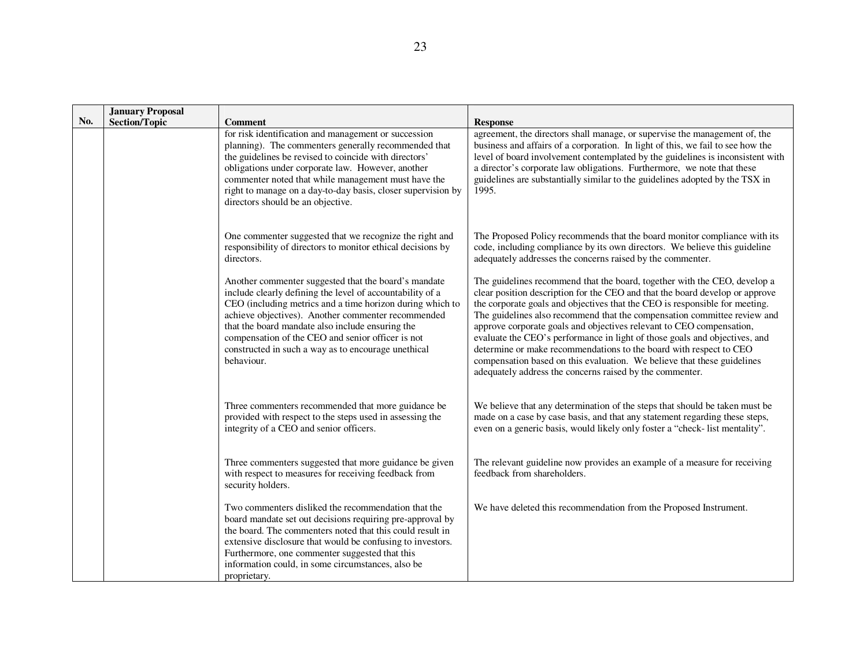|     | <b>January Proposal</b> |                                                                                                                                                                                                                                                                                                                                                                                                                    |                                                                                                                                                                                                                                                                                                                                                                                                                                                                                                                                                                                                                                                                                         |
|-----|-------------------------|--------------------------------------------------------------------------------------------------------------------------------------------------------------------------------------------------------------------------------------------------------------------------------------------------------------------------------------------------------------------------------------------------------------------|-----------------------------------------------------------------------------------------------------------------------------------------------------------------------------------------------------------------------------------------------------------------------------------------------------------------------------------------------------------------------------------------------------------------------------------------------------------------------------------------------------------------------------------------------------------------------------------------------------------------------------------------------------------------------------------------|
| No. | <b>Section/Topic</b>    | <b>Comment</b>                                                                                                                                                                                                                                                                                                                                                                                                     | <b>Response</b>                                                                                                                                                                                                                                                                                                                                                                                                                                                                                                                                                                                                                                                                         |
|     |                         | for risk identification and management or succession<br>planning). The commenters generally recommended that<br>the guidelines be revised to coincide with directors'<br>obligations under corporate law. However, another<br>commenter noted that while management must have the<br>right to manage on a day-to-day basis, closer supervision by<br>directors should be an objective.                             | agreement, the directors shall manage, or supervise the management of, the<br>business and affairs of a corporation. In light of this, we fail to see how the<br>level of board involvement contemplated by the guidelines is inconsistent with<br>a director's corporate law obligations. Furthermore, we note that these<br>guidelines are substantially similar to the guidelines adopted by the TSX in<br>1995.                                                                                                                                                                                                                                                                     |
|     |                         | One commenter suggested that we recognize the right and<br>responsibility of directors to monitor ethical decisions by<br>directors.                                                                                                                                                                                                                                                                               | The Proposed Policy recommends that the board monitor compliance with its<br>code, including compliance by its own directors. We believe this guideline<br>adequately addresses the concerns raised by the commenter.                                                                                                                                                                                                                                                                                                                                                                                                                                                                   |
|     |                         | Another commenter suggested that the board's mandate<br>include clearly defining the level of accountability of a<br>CEO (including metrics and a time horizon during which to<br>achieve objectives). Another commenter recommended<br>that the board mandate also include ensuring the<br>compensation of the CEO and senior officer is not<br>constructed in such a way as to encourage unethical<br>behaviour. | The guidelines recommend that the board, together with the CEO, develop a<br>clear position description for the CEO and that the board develop or approve<br>the corporate goals and objectives that the CEO is responsible for meeting.<br>The guidelines also recommend that the compensation committee review and<br>approve corporate goals and objectives relevant to CEO compensation,<br>evaluate the CEO's performance in light of those goals and objectives, and<br>determine or make recommendations to the board with respect to CEO<br>compensation based on this evaluation. We believe that these guidelines<br>adequately address the concerns raised by the commenter. |
|     |                         | Three commenters recommended that more guidance be<br>provided with respect to the steps used in assessing the<br>integrity of a CEO and senior officers.                                                                                                                                                                                                                                                          | We believe that any determination of the steps that should be taken must be<br>made on a case by case basis, and that any statement regarding these steps,<br>even on a generic basis, would likely only foster a "check- list mentality".                                                                                                                                                                                                                                                                                                                                                                                                                                              |
|     |                         | Three commenters suggested that more guidance be given<br>with respect to measures for receiving feedback from<br>security holders.                                                                                                                                                                                                                                                                                | The relevant guideline now provides an example of a measure for receiving<br>feedback from shareholders.                                                                                                                                                                                                                                                                                                                                                                                                                                                                                                                                                                                |
|     |                         | Two commenters disliked the recommendation that the<br>board mandate set out decisions requiring pre-approval by<br>the board. The commenters noted that this could result in<br>extensive disclosure that would be confusing to investors.<br>Furthermore, one commenter suggested that this<br>information could, in some circumstances, also be<br>proprietary.                                                 | We have deleted this recommendation from the Proposed Instrument.                                                                                                                                                                                                                                                                                                                                                                                                                                                                                                                                                                                                                       |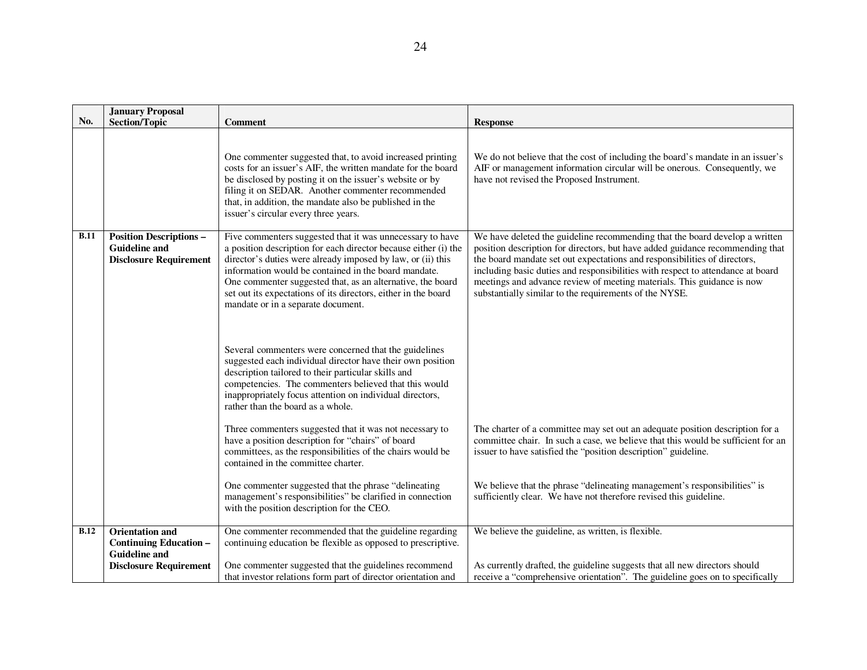|             | <b>January Proposal</b>                                                                                          |                                                                                                                                                                                                                                                                                                                                                                                                                                                                                                                                                                                                                                                                                                                                                                   |                                                                                                                                                                                                                                                                                                                                                                                                                                                                  |
|-------------|------------------------------------------------------------------------------------------------------------------|-------------------------------------------------------------------------------------------------------------------------------------------------------------------------------------------------------------------------------------------------------------------------------------------------------------------------------------------------------------------------------------------------------------------------------------------------------------------------------------------------------------------------------------------------------------------------------------------------------------------------------------------------------------------------------------------------------------------------------------------------------------------|------------------------------------------------------------------------------------------------------------------------------------------------------------------------------------------------------------------------------------------------------------------------------------------------------------------------------------------------------------------------------------------------------------------------------------------------------------------|
| No.         | <b>Section/Topic</b>                                                                                             | <b>Comment</b>                                                                                                                                                                                                                                                                                                                                                                                                                                                                                                                                                                                                                                                                                                                                                    | <b>Response</b>                                                                                                                                                                                                                                                                                                                                                                                                                                                  |
|             |                                                                                                                  | One commenter suggested that, to avoid increased printing<br>costs for an issuer's AIF, the written mandate for the board<br>be disclosed by posting it on the issuer's website or by<br>filing it on SEDAR. Another commenter recommended<br>that, in addition, the mandate also be published in the<br>issuer's circular every three years.                                                                                                                                                                                                                                                                                                                                                                                                                     | We do not believe that the cost of including the board's mandate in an issuer's<br>AIF or management information circular will be onerous. Consequently, we<br>have not revised the Proposed Instrument.                                                                                                                                                                                                                                                         |
| <b>B.11</b> | <b>Position Descriptions -</b><br><b>Guideline and</b><br><b>Disclosure Requirement</b>                          | Five commenters suggested that it was unnecessary to have<br>a position description for each director because either (i) the<br>director's duties were already imposed by law, or (ii) this<br>information would be contained in the board mandate.<br>One commenter suggested that, as an alternative, the board<br>set out its expectations of its directors, either in the board<br>mandate or in a separate document.<br>Several commenters were concerned that the guidelines<br>suggested each individual director have their own position<br>description tailored to their particular skills and<br>competencies. The commenters believed that this would<br>inappropriately focus attention on individual directors,<br>rather than the board as a whole. | We have deleted the guideline recommending that the board develop a written<br>position description for directors, but have added guidance recommending that<br>the board mandate set out expectations and responsibilities of directors,<br>including basic duties and responsibilities with respect to attendance at board<br>meetings and advance review of meeting materials. This guidance is now<br>substantially similar to the requirements of the NYSE. |
|             |                                                                                                                  | Three commenters suggested that it was not necessary to<br>have a position description for "chairs" of board<br>committees, as the responsibilities of the chairs would be<br>contained in the committee charter.<br>One commenter suggested that the phrase "delineating<br>management's responsibilities" be clarified in connection<br>with the position description for the CEO.                                                                                                                                                                                                                                                                                                                                                                              | The charter of a committee may set out an adequate position description for a<br>committee chair. In such a case, we believe that this would be sufficient for an<br>issuer to have satisfied the "position description" guideline.<br>We believe that the phrase "delineating management's responsibilities" is<br>sufficiently clear. We have not therefore revised this guideline.                                                                            |
| B.12        | <b>Orientation and</b><br><b>Continuing Education -</b><br><b>Guideline and</b><br><b>Disclosure Requirement</b> | One commenter recommended that the guideline regarding<br>continuing education be flexible as opposed to prescriptive.<br>One commenter suggested that the guidelines recommend                                                                                                                                                                                                                                                                                                                                                                                                                                                                                                                                                                                   | We believe the guideline, as written, is flexible.<br>As currently drafted, the guideline suggests that all new directors should                                                                                                                                                                                                                                                                                                                                 |
|             |                                                                                                                  | that investor relations form part of director orientation and                                                                                                                                                                                                                                                                                                                                                                                                                                                                                                                                                                                                                                                                                                     | receive a "comprehensive orientation". The guideline goes on to specifically                                                                                                                                                                                                                                                                                                                                                                                     |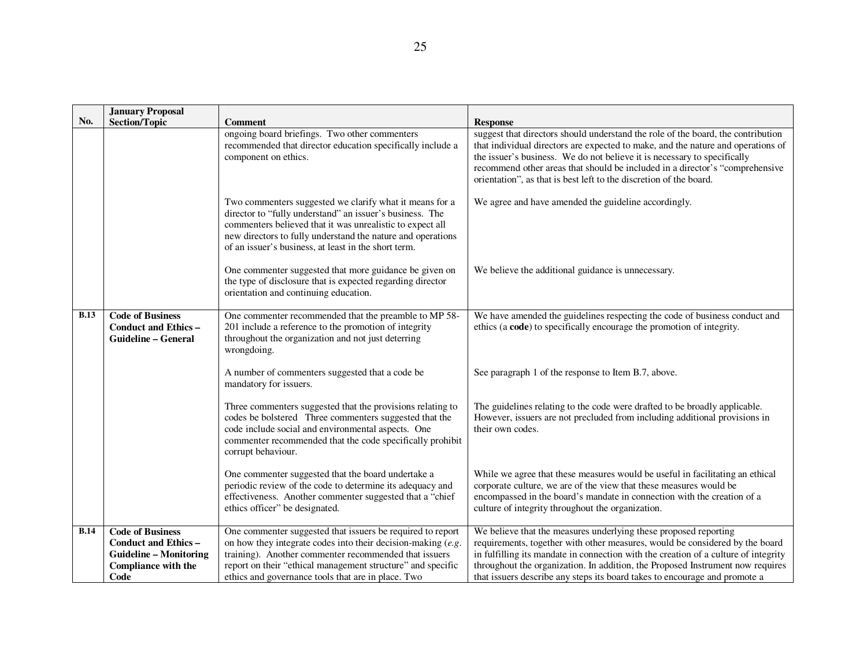|             | <b>January Proposal</b>                                                                                                       |                                                                                                                                                                                                                                                                                                             |                                                                                                                                                                                                                                                                                                                                                                                                         |
|-------------|-------------------------------------------------------------------------------------------------------------------------------|-------------------------------------------------------------------------------------------------------------------------------------------------------------------------------------------------------------------------------------------------------------------------------------------------------------|---------------------------------------------------------------------------------------------------------------------------------------------------------------------------------------------------------------------------------------------------------------------------------------------------------------------------------------------------------------------------------------------------------|
| No.         | <b>Section/Topic</b>                                                                                                          | <b>Comment</b>                                                                                                                                                                                                                                                                                              | <b>Response</b>                                                                                                                                                                                                                                                                                                                                                                                         |
|             |                                                                                                                               | ongoing board briefings. Two other commenters<br>recommended that director education specifically include a<br>component on ethics.                                                                                                                                                                         | suggest that directors should understand the role of the board, the contribution<br>that individual directors are expected to make, and the nature and operations of<br>the issuer's business. We do not believe it is necessary to specifically<br>recommend other areas that should be included in a director's "comprehensive<br>orientation", as that is best left to the discretion of the board.  |
|             |                                                                                                                               | Two commenters suggested we clarify what it means for a<br>director to "fully understand" an issuer's business. The<br>commenters believed that it was unrealistic to expect all<br>new directors to fully understand the nature and operations<br>of an issuer's business, at least in the short term.     | We agree and have amended the guideline accordingly.                                                                                                                                                                                                                                                                                                                                                    |
|             |                                                                                                                               | One commenter suggested that more guidance be given on<br>the type of disclosure that is expected regarding director<br>orientation and continuing education.                                                                                                                                               | We believe the additional guidance is unnecessary.                                                                                                                                                                                                                                                                                                                                                      |
| <b>B.13</b> | <b>Code of Business</b><br><b>Conduct and Ethics -</b><br><b>Guideline - General</b>                                          | One commenter recommended that the preamble to MP 58-<br>201 include a reference to the promotion of integrity<br>throughout the organization and not just deterring<br>wrongdoing.                                                                                                                         | We have amended the guidelines respecting the code of business conduct and<br>ethics (a code) to specifically encourage the promotion of integrity.                                                                                                                                                                                                                                                     |
|             |                                                                                                                               | A number of commenters suggested that a code be<br>mandatory for issuers.                                                                                                                                                                                                                                   | See paragraph 1 of the response to Item B.7, above.                                                                                                                                                                                                                                                                                                                                                     |
|             |                                                                                                                               | Three commenters suggested that the provisions relating to<br>codes be bolstered Three commenters suggested that the<br>code include social and environmental aspects. One<br>commenter recommended that the code specifically prohibit<br>corrupt behaviour.                                               | The guidelines relating to the code were drafted to be broadly applicable.<br>However, issuers are not precluded from including additional provisions in<br>their own codes.                                                                                                                                                                                                                            |
|             |                                                                                                                               | One commenter suggested that the board undertake a<br>periodic review of the code to determine its adequacy and<br>effectiveness. Another commenter suggested that a "chief<br>ethics officer" be designated.                                                                                               | While we agree that these measures would be useful in facilitating an ethical<br>corporate culture, we are of the view that these measures would be<br>encompassed in the board's mandate in connection with the creation of a<br>culture of integrity throughout the organization.                                                                                                                     |
| <b>B.14</b> | <b>Code of Business</b><br><b>Conduct and Ethics -</b><br><b>Guideline - Monitoring</b><br><b>Compliance with the</b><br>Code | One commenter suggested that issuers be required to report<br>on how they integrate codes into their decision-making $(e.g.,$<br>training). Another commenter recommended that issuers<br>report on their "ethical management structure" and specific<br>ethics and governance tools that are in place. Two | We believe that the measures underlying these proposed reporting<br>requirements, together with other measures, would be considered by the board<br>in fulfilling its mandate in connection with the creation of a culture of integrity<br>throughout the organization. In addition, the Proposed Instrument now requires<br>that issuers describe any steps its board takes to encourage and promote a |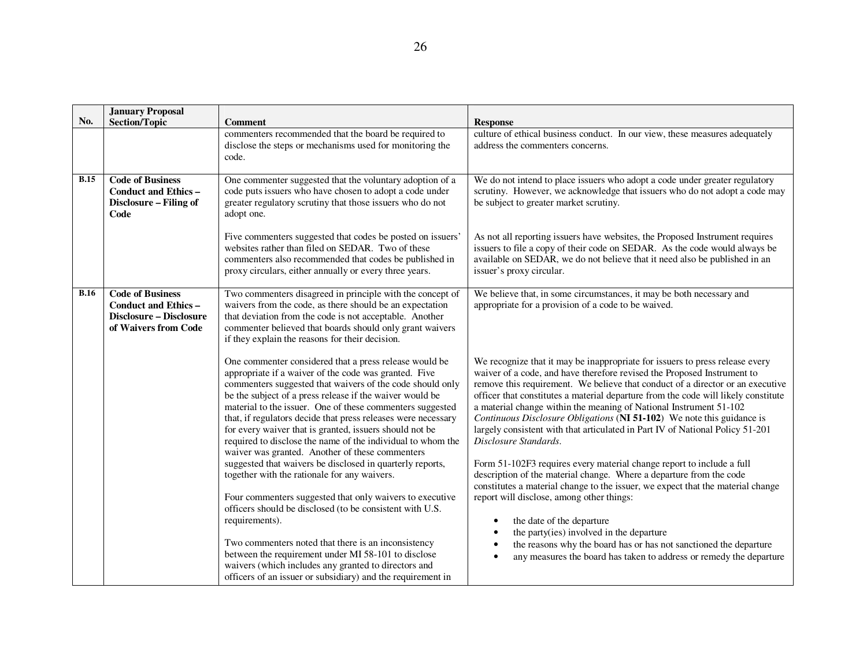|             | <b>January Proposal</b>                                                                                          |                                                                                                                                                                                                                                                                                                                                                                                                                                                                                                                                                     |                                                                                                                                                                                                                                                                                                                                                                                                                                                                                                                                                                                           |
|-------------|------------------------------------------------------------------------------------------------------------------|-----------------------------------------------------------------------------------------------------------------------------------------------------------------------------------------------------------------------------------------------------------------------------------------------------------------------------------------------------------------------------------------------------------------------------------------------------------------------------------------------------------------------------------------------------|-------------------------------------------------------------------------------------------------------------------------------------------------------------------------------------------------------------------------------------------------------------------------------------------------------------------------------------------------------------------------------------------------------------------------------------------------------------------------------------------------------------------------------------------------------------------------------------------|
| No.         | <b>Section/Topic</b>                                                                                             | <b>Comment</b>                                                                                                                                                                                                                                                                                                                                                                                                                                                                                                                                      | <b>Response</b>                                                                                                                                                                                                                                                                                                                                                                                                                                                                                                                                                                           |
|             |                                                                                                                  | commenters recommended that the board be required to<br>disclose the steps or mechanisms used for monitoring the<br>code.                                                                                                                                                                                                                                                                                                                                                                                                                           | culture of ethical business conduct. In our view, these measures adequately<br>address the commenters concerns.                                                                                                                                                                                                                                                                                                                                                                                                                                                                           |
| <b>B.15</b> | <b>Code of Business</b><br><b>Conduct and Ethics -</b><br>Disclosure - Filing of<br>Code                         | One commenter suggested that the voluntary adoption of a<br>code puts issuers who have chosen to adopt a code under<br>greater regulatory scrutiny that those issuers who do not<br>adopt one.                                                                                                                                                                                                                                                                                                                                                      | We do not intend to place issuers who adopt a code under greater regulatory<br>scrutiny. However, we acknowledge that issuers who do not adopt a code may<br>be subject to greater market scrutiny.                                                                                                                                                                                                                                                                                                                                                                                       |
|             |                                                                                                                  | Five commenters suggested that codes be posted on issuers'<br>websites rather than filed on SEDAR. Two of these<br>commenters also recommended that codes be published in<br>proxy circulars, either annually or every three years.                                                                                                                                                                                                                                                                                                                 | As not all reporting issuers have websites, the Proposed Instrument requires<br>issuers to file a copy of their code on SEDAR. As the code would always be<br>available on SEDAR, we do not believe that it need also be published in an<br>issuer's proxy circular.                                                                                                                                                                                                                                                                                                                      |
| B.16        | <b>Code of Business</b><br><b>Conduct and Ethics -</b><br><b>Disclosure - Disclosure</b><br>of Waivers from Code | Two commenters disagreed in principle with the concept of<br>waivers from the code, as there should be an expectation<br>that deviation from the code is not acceptable. Another<br>commenter believed that boards should only grant waivers<br>if they explain the reasons for their decision.                                                                                                                                                                                                                                                     | We believe that, in some circumstances, it may be both necessary and<br>appropriate for a provision of a code to be waived.                                                                                                                                                                                                                                                                                                                                                                                                                                                               |
|             |                                                                                                                  | One commenter considered that a press release would be<br>appropriate if a waiver of the code was granted. Five<br>commenters suggested that waivers of the code should only<br>be the subject of a press release if the waiver would be<br>material to the issuer. One of these commenters suggested<br>that, if regulators decide that press releases were necessary<br>for every waiver that is granted, issuers should not be<br>required to disclose the name of the individual to whom the<br>waiver was granted. Another of these commenters | We recognize that it may be inappropriate for issuers to press release every<br>waiver of a code, and have therefore revised the Proposed Instrument to<br>remove this requirement. We believe that conduct of a director or an executive<br>officer that constitutes a material departure from the code will likely constitute<br>a material change within the meaning of National Instrument 51-102<br>Continuous Disclosure Obligations (NI 51-102) We note this guidance is<br>largely consistent with that articulated in Part IV of National Policy 51-201<br>Disclosure Standards. |
|             |                                                                                                                  | suggested that waivers be disclosed in quarterly reports,<br>together with the rationale for any waivers.<br>Four commenters suggested that only waivers to executive<br>officers should be disclosed (to be consistent with U.S.<br>requirements).                                                                                                                                                                                                                                                                                                 | Form 51-102F3 requires every material change report to include a full<br>description of the material change. Where a departure from the code<br>constitutes a material change to the issuer, we expect that the material change<br>report will disclose, among other things:<br>the date of the departure                                                                                                                                                                                                                                                                                 |
|             |                                                                                                                  | Two commenters noted that there is an inconsistency<br>between the requirement under MI 58-101 to disclose<br>waivers (which includes any granted to directors and<br>officers of an issuer or subsidiary) and the requirement in                                                                                                                                                                                                                                                                                                                   | the party(ies) involved in the departure<br>the reasons why the board has or has not sanctioned the departure<br>any measures the board has taken to address or remedy the departure                                                                                                                                                                                                                                                                                                                                                                                                      |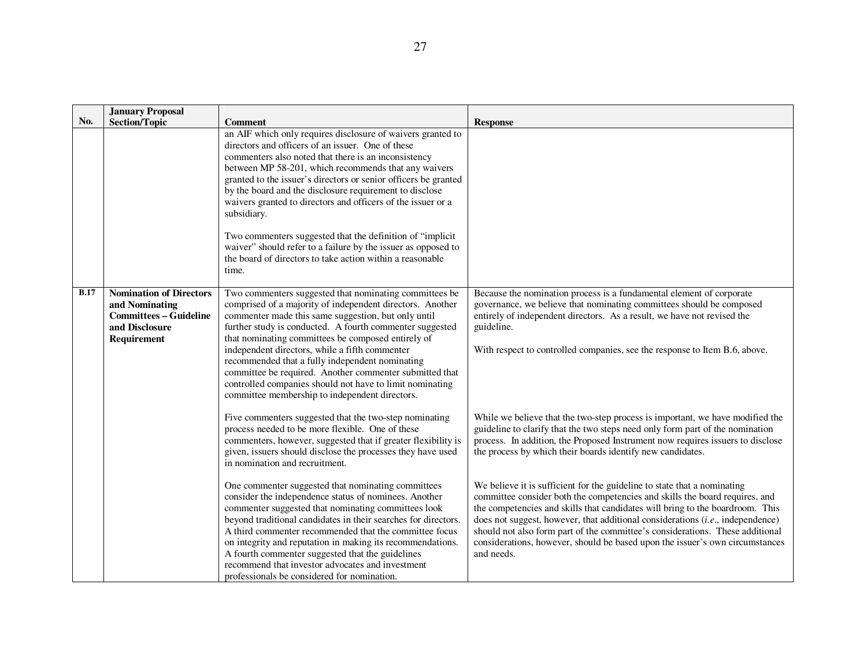|             | <b>January Proposal</b>                                                                                            |                                                                                                                                                                                                                                                                                                                                                                                                                                                                                                                                                                                                                                                                     |                                                                                                                                                                                                                                                                                                                                                                                                                                                                                                           |
|-------------|--------------------------------------------------------------------------------------------------------------------|---------------------------------------------------------------------------------------------------------------------------------------------------------------------------------------------------------------------------------------------------------------------------------------------------------------------------------------------------------------------------------------------------------------------------------------------------------------------------------------------------------------------------------------------------------------------------------------------------------------------------------------------------------------------|-----------------------------------------------------------------------------------------------------------------------------------------------------------------------------------------------------------------------------------------------------------------------------------------------------------------------------------------------------------------------------------------------------------------------------------------------------------------------------------------------------------|
| No.         |                                                                                                                    |                                                                                                                                                                                                                                                                                                                                                                                                                                                                                                                                                                                                                                                                     |                                                                                                                                                                                                                                                                                                                                                                                                                                                                                                           |
|             | <b>Section/Topic</b>                                                                                               | <b>Comment</b><br>an AIF which only requires disclosure of waivers granted to<br>directors and officers of an issuer. One of these<br>commenters also noted that there is an inconsistency<br>between MP 58-201, which recommends that any waivers<br>granted to the issuer's directors or senior officers be granted<br>by the board and the disclosure requirement to disclose<br>waivers granted to directors and officers of the issuer or a<br>subsidiary.<br>Two commenters suggested that the definition of "implicit<br>waiver" should refer to a failure by the issuer as opposed to<br>the board of directors to take action within a reasonable<br>time. | <b>Response</b>                                                                                                                                                                                                                                                                                                                                                                                                                                                                                           |
| <b>B.17</b> | <b>Nomination of Directors</b><br>and Nominating<br><b>Committees - Guideline</b><br>and Disclosure<br>Requirement | Two commenters suggested that nominating committees be<br>comprised of a majority of independent directors. Another<br>commenter made this same suggestion, but only until<br>further study is conducted. A fourth commenter suggested<br>that nominating committees be composed entirely of<br>independent directors, while a fifth commenter<br>recommended that a fully independent nominating<br>committee be required. Another commenter submitted that<br>controlled companies should not have to limit nominating<br>committee membership to independent directors.                                                                                          | Because the nomination process is a fundamental element of corporate<br>governance, we believe that nominating committees should be composed<br>entirely of independent directors. As a result, we have not revised the<br>guideline.<br>With respect to controlled companies, see the response to Item B.6, above.                                                                                                                                                                                       |
|             |                                                                                                                    | Five commenters suggested that the two-step nominating<br>process needed to be more flexible. One of these<br>commenters, however, suggested that if greater flexibility is<br>given, issuers should disclose the processes they have used<br>in nomination and recruitment.                                                                                                                                                                                                                                                                                                                                                                                        | While we believe that the two-step process is important, we have modified the<br>guideline to clarify that the two steps need only form part of the nomination<br>process. In addition, the Proposed Instrument now requires issuers to disclose<br>the process by which their boards identify new candidates.                                                                                                                                                                                            |
|             |                                                                                                                    | One commenter suggested that nominating committees<br>consider the independence status of nominees. Another<br>commenter suggested that nominating committees look<br>beyond traditional candidates in their searches for directors.<br>A third commenter recommended that the committee focus<br>on integrity and reputation in making its recommendations.<br>A fourth commenter suggested that the guidelines<br>recommend that investor advocates and investment<br>professionals be considered for nomination.                                                                                                                                                 | We believe it is sufficient for the guideline to state that a nominating<br>committee consider both the competencies and skills the board requires, and<br>the competencies and skills that candidates will bring to the boardroom. This<br>does not suggest, however, that additional considerations (i.e., independence)<br>should not also form part of the committee's considerations. These additional<br>considerations, however, should be based upon the issuer's own circumstances<br>and needs. |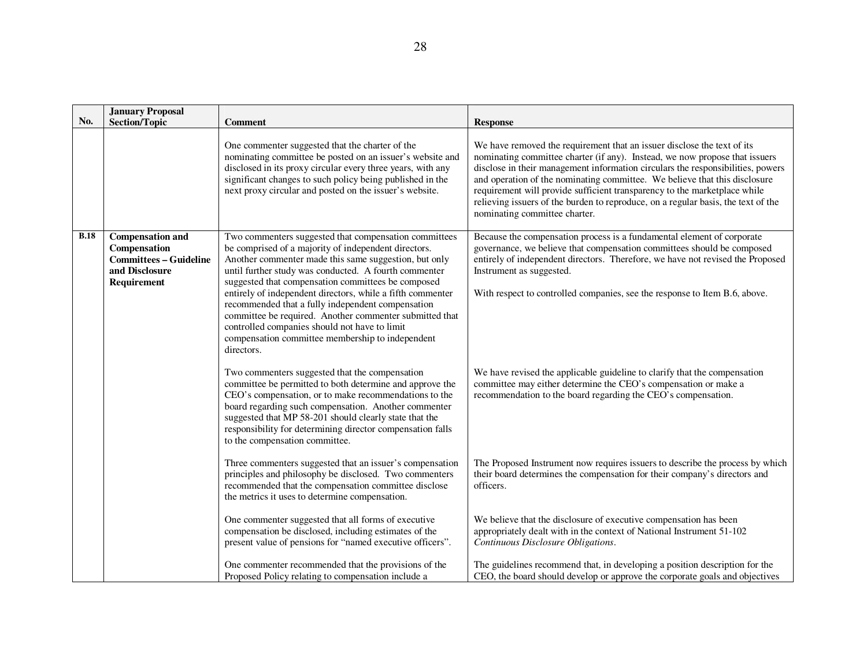|             | <b>January Proposal</b>                                                                                   |                                                                                                                                                                                                                                                                                                                                                                                                                                                                                                                                                                                        |                                                                                                                                                                                                                                                                                                                                                                                                                                                                                                                            |
|-------------|-----------------------------------------------------------------------------------------------------------|----------------------------------------------------------------------------------------------------------------------------------------------------------------------------------------------------------------------------------------------------------------------------------------------------------------------------------------------------------------------------------------------------------------------------------------------------------------------------------------------------------------------------------------------------------------------------------------|----------------------------------------------------------------------------------------------------------------------------------------------------------------------------------------------------------------------------------------------------------------------------------------------------------------------------------------------------------------------------------------------------------------------------------------------------------------------------------------------------------------------------|
| No.         | <b>Section/Topic</b>                                                                                      | <b>Comment</b>                                                                                                                                                                                                                                                                                                                                                                                                                                                                                                                                                                         | <b>Response</b>                                                                                                                                                                                                                                                                                                                                                                                                                                                                                                            |
|             |                                                                                                           | One commenter suggested that the charter of the<br>nominating committee be posted on an issuer's website and<br>disclosed in its proxy circular every three years, with any<br>significant changes to such policy being published in the<br>next proxy circular and posted on the issuer's website.                                                                                                                                                                                                                                                                                    | We have removed the requirement that an issuer disclose the text of its<br>nominating committee charter (if any). Instead, we now propose that issuers<br>disclose in their management information circulars the responsibilities, powers<br>and operation of the nominating committee. We believe that this disclosure<br>requirement will provide sufficient transparency to the marketplace while<br>relieving issuers of the burden to reproduce, on a regular basis, the text of the<br>nominating committee charter. |
| <b>B.18</b> | <b>Compensation and</b><br>Compensation<br><b>Committees - Guideline</b><br>and Disclosure<br>Requirement | Two commenters suggested that compensation committees<br>be comprised of a majority of independent directors.<br>Another commenter made this same suggestion, but only<br>until further study was conducted. A fourth commenter<br>suggested that compensation committees be composed<br>entirely of independent directors, while a fifth commenter<br>recommended that a fully independent compensation<br>committee be required. Another commenter submitted that<br>controlled companies should not have to limit<br>compensation committee membership to independent<br>directors. | Because the compensation process is a fundamental element of corporate<br>governance, we believe that compensation committees should be composed<br>entirely of independent directors. Therefore, we have not revised the Proposed<br>Instrument as suggested.<br>With respect to controlled companies, see the response to Item B.6, above.                                                                                                                                                                               |
|             |                                                                                                           | Two commenters suggested that the compensation<br>committee be permitted to both determine and approve the<br>CEO's compensation, or to make recommendations to the<br>board regarding such compensation. Another commenter<br>suggested that MP 58-201 should clearly state that the<br>responsibility for determining director compensation falls<br>to the compensation committee.                                                                                                                                                                                                  | We have revised the applicable guideline to clarify that the compensation<br>committee may either determine the CEO's compensation or make a<br>recommendation to the board regarding the CEO's compensation.                                                                                                                                                                                                                                                                                                              |
|             |                                                                                                           | Three commenters suggested that an issuer's compensation<br>principles and philosophy be disclosed. Two commenters<br>recommended that the compensation committee disclose<br>the metrics it uses to determine compensation.                                                                                                                                                                                                                                                                                                                                                           | The Proposed Instrument now requires issuers to describe the process by which<br>their board determines the compensation for their company's directors and<br>officers.                                                                                                                                                                                                                                                                                                                                                    |
|             |                                                                                                           | One commenter suggested that all forms of executive<br>compensation be disclosed, including estimates of the<br>present value of pensions for "named executive officers".                                                                                                                                                                                                                                                                                                                                                                                                              | We believe that the disclosure of executive compensation has been<br>appropriately dealt with in the context of National Instrument 51-102<br>Continuous Disclosure Obligations.                                                                                                                                                                                                                                                                                                                                           |
|             |                                                                                                           | One commenter recommended that the provisions of the<br>Proposed Policy relating to compensation include a                                                                                                                                                                                                                                                                                                                                                                                                                                                                             | The guidelines recommend that, in developing a position description for the<br>CEO, the board should develop or approve the corporate goals and objectives                                                                                                                                                                                                                                                                                                                                                                 |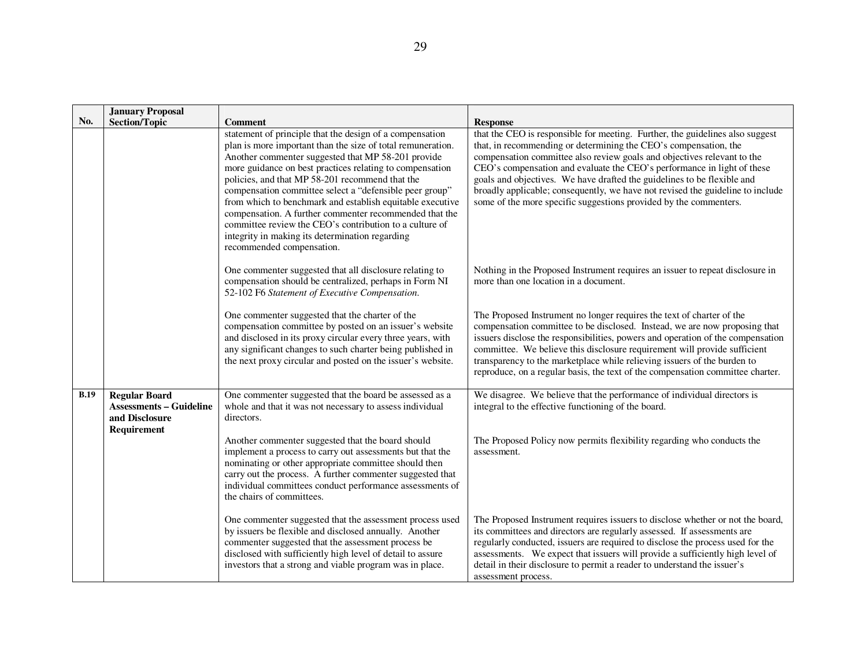|             | <b>January Proposal</b><br><b>Section/Topic</b>                                         | <b>Comment</b>                                                                                                                                                                                                                                                                                                                                                                                                                                                                                                                                                                                                            | <b>Response</b>                                                                                                                                                                                                                                                                                                                                                                                                                                                                                                                           |
|-------------|-----------------------------------------------------------------------------------------|---------------------------------------------------------------------------------------------------------------------------------------------------------------------------------------------------------------------------------------------------------------------------------------------------------------------------------------------------------------------------------------------------------------------------------------------------------------------------------------------------------------------------------------------------------------------------------------------------------------------------|-------------------------------------------------------------------------------------------------------------------------------------------------------------------------------------------------------------------------------------------------------------------------------------------------------------------------------------------------------------------------------------------------------------------------------------------------------------------------------------------------------------------------------------------|
| No.         |                                                                                         | statement of principle that the design of a compensation<br>plan is more important than the size of total remuneration.<br>Another commenter suggested that MP 58-201 provide<br>more guidance on best practices relating to compensation<br>policies, and that MP 58-201 recommend that the<br>compensation committee select a "defensible peer group"<br>from which to benchmark and establish equitable executive<br>compensation. A further commenter recommended that the<br>committee review the CEO's contribution to a culture of<br>integrity in making its determination regarding<br>recommended compensation. | that the CEO is responsible for meeting. Further, the guidelines also suggest<br>that, in recommending or determining the CEO's compensation, the<br>compensation committee also review goals and objectives relevant to the<br>CEO's compensation and evaluate the CEO's performance in light of these<br>goals and objectives. We have drafted the guidelines to be flexible and<br>broadly applicable; consequently, we have not revised the guideline to include<br>some of the more specific suggestions provided by the commenters. |
|             |                                                                                         | One commenter suggested that all disclosure relating to<br>compensation should be centralized, perhaps in Form NI<br>52-102 F6 Statement of Executive Compensation.                                                                                                                                                                                                                                                                                                                                                                                                                                                       | Nothing in the Proposed Instrument requires an issuer to repeat disclosure in<br>more than one location in a document.                                                                                                                                                                                                                                                                                                                                                                                                                    |
|             |                                                                                         | One commenter suggested that the charter of the<br>compensation committee by posted on an issuer's website<br>and disclosed in its proxy circular every three years, with<br>any significant changes to such charter being published in<br>the next proxy circular and posted on the issuer's website.                                                                                                                                                                                                                                                                                                                    | The Proposed Instrument no longer requires the text of charter of the<br>compensation committee to be disclosed. Instead, we are now proposing that<br>issuers disclose the responsibilities, powers and operation of the compensation<br>committee. We believe this disclosure requirement will provide sufficient<br>transparency to the marketplace while relieving issuers of the burden to<br>reproduce, on a regular basis, the text of the compensation committee charter.                                                         |
| <b>B.19</b> | <b>Regular Board</b><br><b>Assessments – Guideline</b><br>and Disclosure<br>Requirement | One commenter suggested that the board be assessed as a<br>whole and that it was not necessary to assess individual<br>directors.                                                                                                                                                                                                                                                                                                                                                                                                                                                                                         | We disagree. We believe that the performance of individual directors is<br>integral to the effective functioning of the board.                                                                                                                                                                                                                                                                                                                                                                                                            |
|             |                                                                                         | Another commenter suggested that the board should<br>implement a process to carry out assessments but that the<br>nominating or other appropriate committee should then<br>carry out the process. A further commenter suggested that<br>individual committees conduct performance assessments of<br>the chairs of committees.                                                                                                                                                                                                                                                                                             | The Proposed Policy now permits flexibility regarding who conducts the<br>assessment.                                                                                                                                                                                                                                                                                                                                                                                                                                                     |
|             |                                                                                         | One commenter suggested that the assessment process used<br>by issuers be flexible and disclosed annually. Another<br>commenter suggested that the assessment process be<br>disclosed with sufficiently high level of detail to assure<br>investors that a strong and viable program was in place.                                                                                                                                                                                                                                                                                                                        | The Proposed Instrument requires issuers to disclose whether or not the board,<br>its committees and directors are regularly assessed. If assessments are<br>regularly conducted, issuers are required to disclose the process used for the<br>assessments. We expect that issuers will provide a sufficiently high level of<br>detail in their disclosure to permit a reader to understand the issuer's<br>assessment process.                                                                                                           |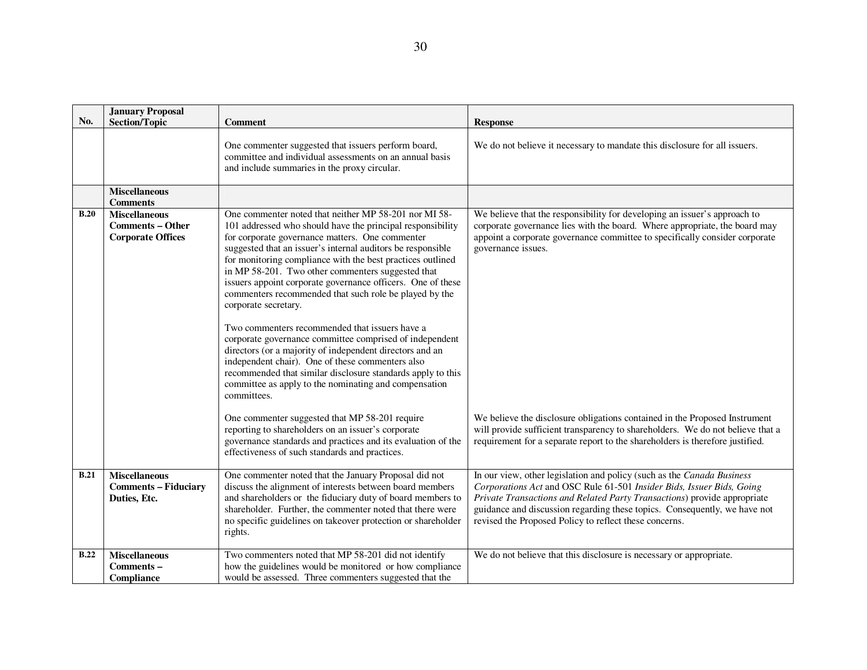| No.         | <b>January Proposal</b>                                                     |                                                                                                                                                                                                                                                                                                                                                                                                                                                                                                                                                                                                                                                                                                                                                                                                                                                                               |                                                                                                                                                                                                                                                                                                                                                                    |
|-------------|-----------------------------------------------------------------------------|-------------------------------------------------------------------------------------------------------------------------------------------------------------------------------------------------------------------------------------------------------------------------------------------------------------------------------------------------------------------------------------------------------------------------------------------------------------------------------------------------------------------------------------------------------------------------------------------------------------------------------------------------------------------------------------------------------------------------------------------------------------------------------------------------------------------------------------------------------------------------------|--------------------------------------------------------------------------------------------------------------------------------------------------------------------------------------------------------------------------------------------------------------------------------------------------------------------------------------------------------------------|
|             | <b>Section/Topic</b>                                                        | Comment                                                                                                                                                                                                                                                                                                                                                                                                                                                                                                                                                                                                                                                                                                                                                                                                                                                                       | <b>Response</b>                                                                                                                                                                                                                                                                                                                                                    |
|             |                                                                             | One commenter suggested that issuers perform board,<br>committee and individual assessments on an annual basis<br>and include summaries in the proxy circular.                                                                                                                                                                                                                                                                                                                                                                                                                                                                                                                                                                                                                                                                                                                | We do not believe it necessary to mandate this disclosure for all issuers.                                                                                                                                                                                                                                                                                         |
|             | <b>Miscellaneous</b><br><b>Comments</b>                                     |                                                                                                                                                                                                                                                                                                                                                                                                                                                                                                                                                                                                                                                                                                                                                                                                                                                                               |                                                                                                                                                                                                                                                                                                                                                                    |
| B.20        | <b>Miscellaneous</b><br><b>Comments – Other</b><br><b>Corporate Offices</b> | One commenter noted that neither MP 58-201 nor MI 58-<br>101 addressed who should have the principal responsibility<br>for corporate governance matters. One commenter<br>suggested that an issuer's internal auditors be responsible<br>for monitoring compliance with the best practices outlined<br>in MP 58-201. Two other commenters suggested that<br>issuers appoint corporate governance officers. One of these<br>commenters recommended that such role be played by the<br>corporate secretary.<br>Two commenters recommended that issuers have a<br>corporate governance committee comprised of independent<br>directors (or a majority of independent directors and an<br>independent chair). One of these commenters also<br>recommended that similar disclosure standards apply to this<br>committee as apply to the nominating and compensation<br>committees. | We believe that the responsibility for developing an issuer's approach to<br>corporate governance lies with the board. Where appropriate, the board may<br>appoint a corporate governance committee to specifically consider corporate<br>governance issues.                                                                                                       |
|             |                                                                             | One commenter suggested that MP 58-201 require<br>reporting to shareholders on an issuer's corporate<br>governance standards and practices and its evaluation of the<br>effectiveness of such standards and practices.                                                                                                                                                                                                                                                                                                                                                                                                                                                                                                                                                                                                                                                        | We believe the disclosure obligations contained in the Proposed Instrument<br>will provide sufficient transparency to shareholders. We do not believe that a<br>requirement for a separate report to the shareholders is therefore justified.                                                                                                                      |
| <b>B.21</b> | <b>Miscellaneous</b><br><b>Comments - Fiduciary</b><br>Duties, Etc.         | One commenter noted that the January Proposal did not<br>discuss the alignment of interests between board members<br>and shareholders or the fiduciary duty of board members to<br>shareholder. Further, the commenter noted that there were<br>no specific guidelines on takeover protection or shareholder<br>rights.                                                                                                                                                                                                                                                                                                                                                                                                                                                                                                                                                       | In our view, other legislation and policy (such as the Canada Business<br>Corporations Act and OSC Rule 61-501 Insider Bids, Issuer Bids, Going<br>Private Transactions and Related Party Transactions) provide appropriate<br>guidance and discussion regarding these topics. Consequently, we have not<br>revised the Proposed Policy to reflect these concerns. |
| <b>B.22</b> | <b>Miscellaneous</b><br>Comments-<br>Compliance                             | Two commenters noted that MP 58-201 did not identify<br>how the guidelines would be monitored or how compliance<br>would be assessed. Three commenters suggested that the                                                                                                                                                                                                                                                                                                                                                                                                                                                                                                                                                                                                                                                                                                     | We do not believe that this disclosure is necessary or appropriate.                                                                                                                                                                                                                                                                                                |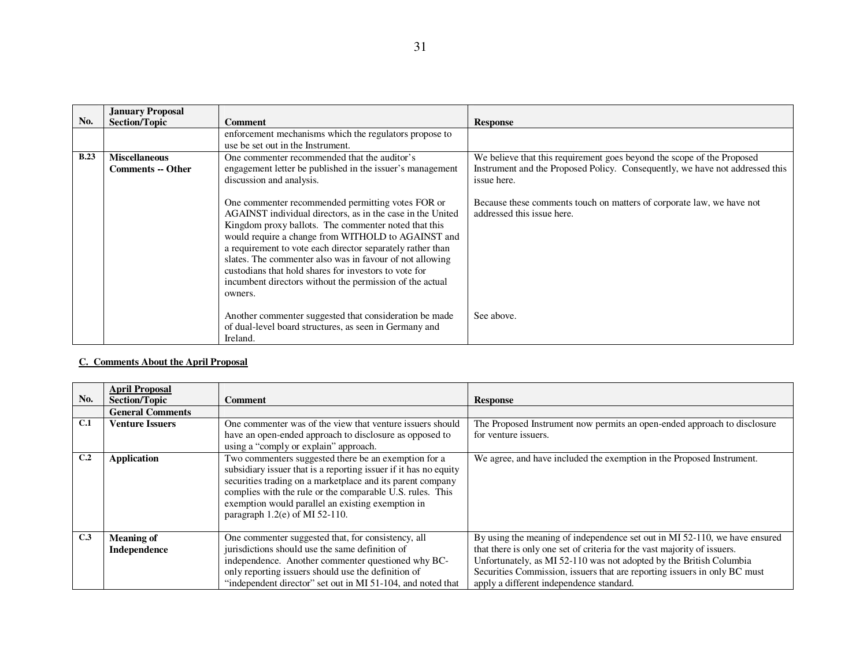|             | <b>January Proposal</b>                          |                                                                                                                                                                                                                                                                                                                                                                                                                                                                                         |                                                                                                                                                                       |
|-------------|--------------------------------------------------|-----------------------------------------------------------------------------------------------------------------------------------------------------------------------------------------------------------------------------------------------------------------------------------------------------------------------------------------------------------------------------------------------------------------------------------------------------------------------------------------|-----------------------------------------------------------------------------------------------------------------------------------------------------------------------|
| No.         | <b>Section/Topic</b>                             | <b>Comment</b>                                                                                                                                                                                                                                                                                                                                                                                                                                                                          | <b>Response</b>                                                                                                                                                       |
|             |                                                  | enforcement mechanisms which the regulators propose to<br>use be set out in the Instrument.                                                                                                                                                                                                                                                                                                                                                                                             |                                                                                                                                                                       |
| <b>B.23</b> | <b>Miscellaneous</b><br><b>Comments -- Other</b> | One commenter recommended that the auditor's<br>engagement letter be published in the issuer's management<br>discussion and analysis.                                                                                                                                                                                                                                                                                                                                                   | We believe that this requirement goes beyond the scope of the Proposed<br>Instrument and the Proposed Policy. Consequently, we have not addressed this<br>issue here. |
|             |                                                  | One commenter recommended permitting votes FOR or<br>AGAINST individual directors, as in the case in the United<br>Kingdom proxy ballots. The commenter noted that this<br>would require a change from WITHOLD to AGAINST and<br>a requirement to vote each director separately rather than<br>slates. The commenter also was in favour of not allowing<br>custodians that hold shares for investors to vote for<br>incumbent directors without the permission of the actual<br>owners. | Because these comments touch on matters of corporate law, we have not<br>addressed this issue here.                                                                   |
|             |                                                  | Another commenter suggested that consideration be made<br>of dual-level board structures, as seen in Germany and<br>Ireland.                                                                                                                                                                                                                                                                                                                                                            | See above.                                                                                                                                                            |

#### **C. Comments About the April Proposal**

| No. | <b>April Proposal</b><br><b>Section/Topic</b> | <b>Comment</b>                                                                                                                                                                                                                                                                                                                                | <b>Response</b>                                                                                                                                                                                                                                                                                                                                        |
|-----|-----------------------------------------------|-----------------------------------------------------------------------------------------------------------------------------------------------------------------------------------------------------------------------------------------------------------------------------------------------------------------------------------------------|--------------------------------------------------------------------------------------------------------------------------------------------------------------------------------------------------------------------------------------------------------------------------------------------------------------------------------------------------------|
|     | <b>General Comments</b>                       |                                                                                                                                                                                                                                                                                                                                               |                                                                                                                                                                                                                                                                                                                                                        |
| C.1 | <b>Venture Issuers</b>                        | One commenter was of the view that venture issuers should<br>have an open-ended approach to disclosure as opposed to<br>using a "comply or explain" approach.                                                                                                                                                                                 | The Proposed Instrument now permits an open-ended approach to disclosure<br>for venture issuers.                                                                                                                                                                                                                                                       |
| C.2 | <b>Application</b>                            | Two commenters suggested there be an exemption for a<br>subsidiary issuer that is a reporting issuer if it has no equity<br>securities trading on a marketplace and its parent company<br>complies with the rule or the comparable U.S. rules. This<br>exemption would parallel an existing exemption in<br>paragraph $1.2$ (e) of MI 52-110. | We agree, and have included the exemption in the Proposed Instrument.                                                                                                                                                                                                                                                                                  |
| C.3 | <b>Meaning of</b><br>Independence             | One commenter suggested that, for consistency, all<br>jurisdictions should use the same definition of<br>independence. Another commenter questioned why BC-<br>only reporting issuers should use the definition of<br>"independent director" set out in MI 51-104, and noted that                                                             | By using the meaning of independence set out in MI 52-110, we have ensured<br>that there is only one set of criteria for the vast majority of issuers.<br>Unfortunately, as MI 52-110 was not adopted by the British Columbia<br>Securities Commission, issuers that are reporting issuers in only BC must<br>apply a different independence standard. |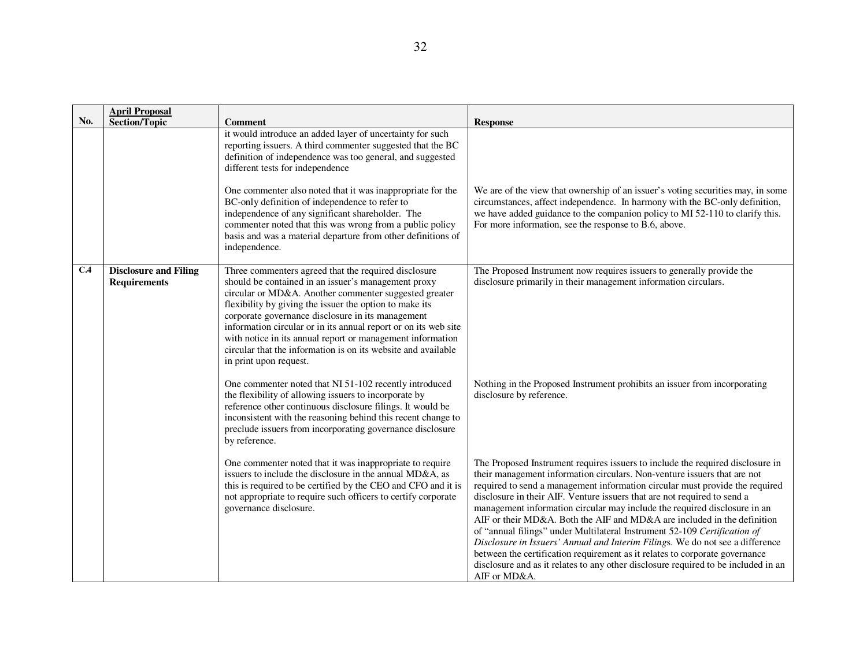| No. | <b>April Proposal</b><br><b>Section/Topic</b>       | <b>Comment</b>                                                                                                                                                                                                                                                                                                                                                                                                                                                                                                   | <b>Response</b>                                                                                                                                                                                                                                                                                                                                                                                                                                                                                                                                                                                                                                                                                                                                                                                                                   |
|-----|-----------------------------------------------------|------------------------------------------------------------------------------------------------------------------------------------------------------------------------------------------------------------------------------------------------------------------------------------------------------------------------------------------------------------------------------------------------------------------------------------------------------------------------------------------------------------------|-----------------------------------------------------------------------------------------------------------------------------------------------------------------------------------------------------------------------------------------------------------------------------------------------------------------------------------------------------------------------------------------------------------------------------------------------------------------------------------------------------------------------------------------------------------------------------------------------------------------------------------------------------------------------------------------------------------------------------------------------------------------------------------------------------------------------------------|
|     |                                                     | it would introduce an added layer of uncertainty for such<br>reporting issuers. A third commenter suggested that the BC<br>definition of independence was too general, and suggested<br>different tests for independence                                                                                                                                                                                                                                                                                         |                                                                                                                                                                                                                                                                                                                                                                                                                                                                                                                                                                                                                                                                                                                                                                                                                                   |
|     |                                                     | One commenter also noted that it was inappropriate for the<br>BC-only definition of independence to refer to<br>independence of any significant shareholder. The<br>commenter noted that this was wrong from a public policy<br>basis and was a material departure from other definitions of<br>independence.                                                                                                                                                                                                    | We are of the view that ownership of an issuer's voting securities may, in some<br>circumstances, affect independence. In harmony with the BC-only definition,<br>we have added guidance to the companion policy to MI 52-110 to clarify this.<br>For more information, see the response to B.6, above.                                                                                                                                                                                                                                                                                                                                                                                                                                                                                                                           |
| C.4 | <b>Disclosure and Filing</b><br><b>Requirements</b> | Three commenters agreed that the required disclosure<br>should be contained in an issuer's management proxy<br>circular or MD&A. Another commenter suggested greater<br>flexibility by giving the issuer the option to make its<br>corporate governance disclosure in its management<br>information circular or in its annual report or on its web site<br>with notice in its annual report or management information<br>circular that the information is on its website and available<br>in print upon request. | The Proposed Instrument now requires issuers to generally provide the<br>disclosure primarily in their management information circulars.                                                                                                                                                                                                                                                                                                                                                                                                                                                                                                                                                                                                                                                                                          |
|     |                                                     | One commenter noted that NI 51-102 recently introduced<br>the flexibility of allowing issuers to incorporate by<br>reference other continuous disclosure filings. It would be<br>inconsistent with the reasoning behind this recent change to<br>preclude issuers from incorporating governance disclosure<br>by reference.                                                                                                                                                                                      | Nothing in the Proposed Instrument prohibits an issuer from incorporating<br>disclosure by reference.                                                                                                                                                                                                                                                                                                                                                                                                                                                                                                                                                                                                                                                                                                                             |
|     |                                                     | One commenter noted that it was inappropriate to require<br>issuers to include the disclosure in the annual MD&A, as<br>this is required to be certified by the CEO and CFO and it is<br>not appropriate to require such officers to certify corporate<br>governance disclosure.                                                                                                                                                                                                                                 | The Proposed Instrument requires issuers to include the required disclosure in<br>their management information circulars. Non-venture issuers that are not<br>required to send a management information circular must provide the required<br>disclosure in their AIF. Venture issuers that are not required to send a<br>management information circular may include the required disclosure in an<br>AIF or their MD&A. Both the AIF and MD&A are included in the definition<br>of "annual filings" under Multilateral Instrument 52-109 Certification of<br>Disclosure in Issuers' Annual and Interim Filings. We do not see a difference<br>between the certification requirement as it relates to corporate governance<br>disclosure and as it relates to any other disclosure required to be included in an<br>AIF or MD&A. |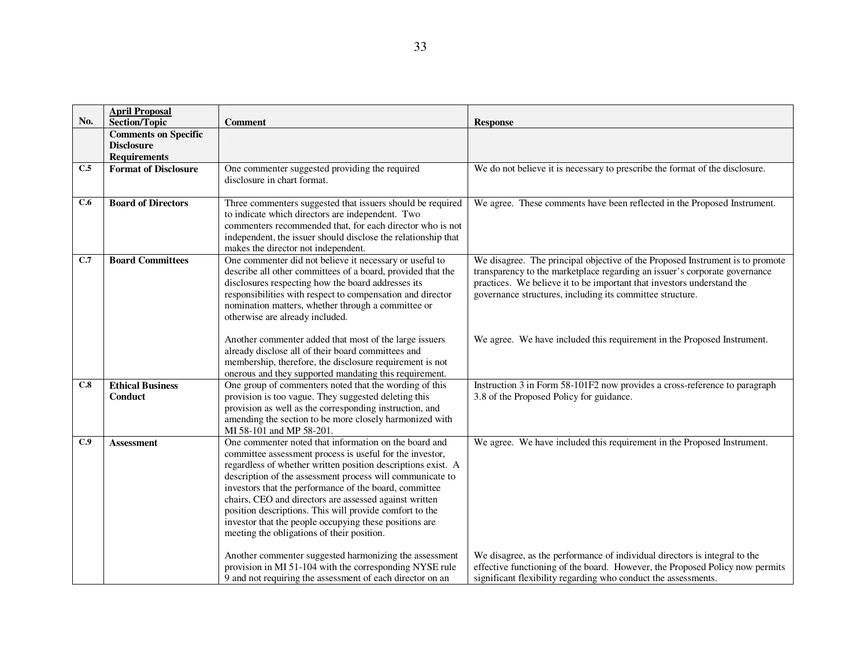|     | <b>April Proposal</b>                               |                                                                                                                           |                                                                                                                                                      |
|-----|-----------------------------------------------------|---------------------------------------------------------------------------------------------------------------------------|------------------------------------------------------------------------------------------------------------------------------------------------------|
| No. | <b>Section/Topic</b><br><b>Comments on Specific</b> | <b>Comment</b>                                                                                                            | <b>Response</b>                                                                                                                                      |
|     | <b>Disclosure</b>                                   |                                                                                                                           |                                                                                                                                                      |
|     | <b>Requirements</b>                                 |                                                                                                                           |                                                                                                                                                      |
| C.5 | <b>Format of Disclosure</b>                         | One commenter suggested providing the required                                                                            | We do not believe it is necessary to prescribe the format of the disclosure.                                                                         |
|     |                                                     | disclosure in chart format.                                                                                               |                                                                                                                                                      |
|     |                                                     |                                                                                                                           |                                                                                                                                                      |
| C.6 | <b>Board of Directors</b>                           | Three commenters suggested that issuers should be required<br>to indicate which directors are independent. Two            | We agree. These comments have been reflected in the Proposed Instrument.                                                                             |
|     |                                                     | commenters recommended that, for each director who is not                                                                 |                                                                                                                                                      |
|     |                                                     | independent, the issuer should disclose the relationship that                                                             |                                                                                                                                                      |
|     |                                                     | makes the director not independent.                                                                                       |                                                                                                                                                      |
| C.7 | <b>Board Committees</b>                             | One commenter did not believe it necessary or useful to                                                                   | We disagree. The principal objective of the Proposed Instrument is to promote                                                                        |
|     |                                                     | describe all other committees of a board, provided that the<br>disclosures respecting how the board addresses its         | transparency to the marketplace regarding an issuer's corporate governance<br>practices. We believe it to be important that investors understand the |
|     |                                                     | responsibilities with respect to compensation and director                                                                | governance structures, including its committee structure.                                                                                            |
|     |                                                     | nomination matters, whether through a committee or                                                                        |                                                                                                                                                      |
|     |                                                     | otherwise are already included.                                                                                           |                                                                                                                                                      |
|     |                                                     |                                                                                                                           |                                                                                                                                                      |
|     |                                                     | Another commenter added that most of the large issuers                                                                    | We agree. We have included this requirement in the Proposed Instrument.                                                                              |
|     |                                                     | already disclose all of their board committees and                                                                        |                                                                                                                                                      |
|     |                                                     | membership, therefore, the disclosure requirement is not                                                                  |                                                                                                                                                      |
| C.8 | <b>Ethical Business</b>                             | onerous and they supported mandating this requirement.<br>One group of commenters noted that the wording of this          | Instruction 3 in Form 58-101F2 now provides a cross-reference to paragraph                                                                           |
|     | Conduct                                             | provision is too vague. They suggested deleting this                                                                      | 3.8 of the Proposed Policy for guidance.                                                                                                             |
|     |                                                     | provision as well as the corresponding instruction, and                                                                   |                                                                                                                                                      |
|     |                                                     | amending the section to be more closely harmonized with                                                                   |                                                                                                                                                      |
|     |                                                     | MI 58-101 and MP 58-201.                                                                                                  |                                                                                                                                                      |
| C.9 | <b>Assessment</b>                                   | One commenter noted that information on the board and                                                                     | We agree. We have included this requirement in the Proposed Instrument.                                                                              |
|     |                                                     | committee assessment process is useful for the investor,                                                                  |                                                                                                                                                      |
|     |                                                     | regardless of whether written position descriptions exist. A<br>description of the assessment process will communicate to |                                                                                                                                                      |
|     |                                                     | investors that the performance of the board, committee                                                                    |                                                                                                                                                      |
|     |                                                     | chairs, CEO and directors are assessed against written                                                                    |                                                                                                                                                      |
|     |                                                     | position descriptions. This will provide comfort to the                                                                   |                                                                                                                                                      |
|     |                                                     | investor that the people occupying these positions are                                                                    |                                                                                                                                                      |
|     |                                                     | meeting the obligations of their position.                                                                                |                                                                                                                                                      |
|     |                                                     | Another commenter suggested harmonizing the assessment                                                                    | We disagree, as the performance of individual directors is integral to the                                                                           |
|     |                                                     | provision in MI 51-104 with the corresponding NYSE rule                                                                   | effective functioning of the board. However, the Proposed Policy now permits                                                                         |
|     |                                                     | 9 and not requiring the assessment of each director on an                                                                 | significant flexibility regarding who conduct the assessments.                                                                                       |